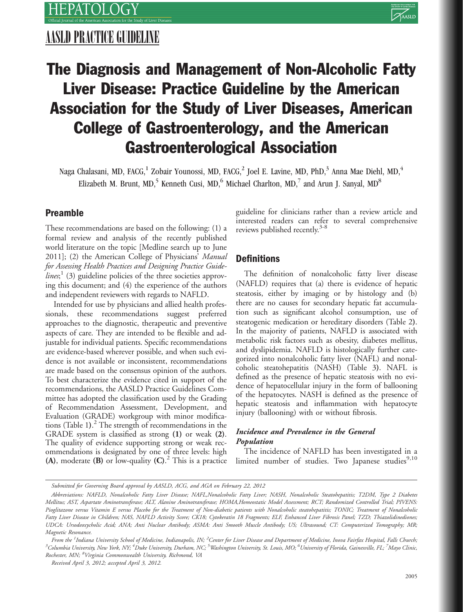# AASLD PRACTICE GUIDELINE



# The Diagnosis and Management of Non-Alcoholic Fatty Liver Disease: Practice Guideline by the American Association for the Study of Liver Diseases, American College of Gastroenterology, and the American Gastroenterological Association

Naga Chalasani, MD, FACG,<sup>1</sup> Zobair Younossi, MD, FACG,<sup>2</sup> Joel E. Lavine, MD, PhD,<sup>3</sup> Anna Mae Diehl, MD,<sup>4</sup> Elizabeth M. Brunt, MD,<sup>5</sup> Kenneth Cusi, MD,<sup>6</sup> Michael Charlton, MD,<sup>7</sup> and Arun J. Sanyal, MD<sup>8</sup>

# Preamble

These recommendations are based on the following: (1) a formal review and analysis of the recently published world literature on the topic [Medline search up to June 2011]; (2) the American College of Physicians' Manual for Assessing Health Practices and Designing Practice Guide- $\ell$ ines;<sup>1</sup> (3) guideline policies of the three societies approving this document; and (4) the experience of the authors and independent reviewers with regards to NAFLD.

Intended for use by physicians and allied health professionals, these recommendations suggest preferred approaches to the diagnostic, therapeutic and preventive aspects of care. They are intended to be flexible and adjustable for individual patients. Specific recommendations are evidence-based wherever possible, and when such evidence is not available or inconsistent, recommendations are made based on the consensus opinion of the authors. To best characterize the evidence cited in support of the recommendations, the AASLD Practice Guidelines Committee has adopted the classification used by the Grading of Recommendation Assessment, Development, and Evaluation (GRADE) workgroup with minor modifications (Table 1). <sup>2</sup> The strength of recommendations in the GRADE system is classified as strong (1) or weak (2). The quality of evidence supporting strong or weak recommendations is designated by one of three levels: high (A), moderate  $(B)$  or low-quality  $(C)$ .<sup>2</sup> This is a practice

guideline for clinicians rather than a review article and interested readers can refer to several comprehensive reviews published recently.<sup>3-8</sup>

# **Definitions**

The definition of nonalcoholic fatty liver disease (NAFLD) requires that (a) there is evidence of hepatic steatosis, either by imaging or by histology and (b) there are no causes for secondary hepatic fat accumulation such as significant alcohol consumption, use of steatogenic medication or hereditary disorders (Table 2). In the majority of patients, NAFLD is associated with metabolic risk factors such as obesity, diabetes mellitus, and dyslipidemia. NAFLD is histologically further categorized into nonalcoholic fatty liver (NAFL) and nonalcoholic steatohepatitis (NASH) (Table 3). NAFL is defined as the presence of hepatic steatosis with no evidence of hepatocellular injury in the form of ballooning of the hepatocytes. NASH is defined as the presence of hepatic steatosis and inflammation with hepatocyte injury (ballooning) with or without fibrosis.

# Incidence and Prevalence in the General Population

The incidence of NAFLD has been investigated in a limited number of studies. Two Japanese studies $^{9,10}$ 

Received April 3, 2012; accepted April 3, 2012.

Submitted for Governing Board approval by AASLD, ACG, and AGA on February 22, 2012

Abbreviations: NAFLD, Nonalcoholic Fatty Liver Disease; NAFL,Nonalcoholic Fatty Liver; NASH, Nonalcoholic Steatohepatitis; T2DM, Type 2 Diabetes Mellitus; AST, Aspartate Aminotransferase; ALT, Alanine Aminotransferase; HOMA,Homeostatic Model Assessment; RCT; Randomized Controlled Trial; PIVENS: Pioglitazone versus Vitamin E versus Placebo for the Treatment of Non-diabetic patients with Nonalcoholic steatohepatitis; TONIC; Treatment of Nonalcoholic Fatty Liver Disease in Children; NAS, NAFLD Activity Score; CK18; Cytokeratin 18 Fragments; ELF, Enhanced Liver Fibrosis Panel; TZD; Thiazolidinediones; UDCA: Ursodeoxycholic Acid; ANA; Anti Nuclear Antibody; ASMA: Anti Smooth Muscle Antibody; US; Ultrasound; CT: Computerized Tomography; MR; Magnetic Resonance.

From the <sup>1</sup>Indiana University School of Medicine, Indianapolis, IN; <sup>2</sup>Center for Liver Disease and Department of Medicine, Inova Fairfax Hospital, Falls Church;<br><sup>3</sup>Columbia University New York NV: <sup>4</sup>Dube University Durh Columbia University, New York, NY; <sup>4</sup>Duke University, Durham, NC; <sup>5</sup>Washington University, St. Louis, MO; <sup>6</sup>University of Florida, Gainesville, FL; <sup>7</sup>Mayo Clinic, Rochester, MN; <sup>8</sup>Virginia Commonwealth University, Richmond, VA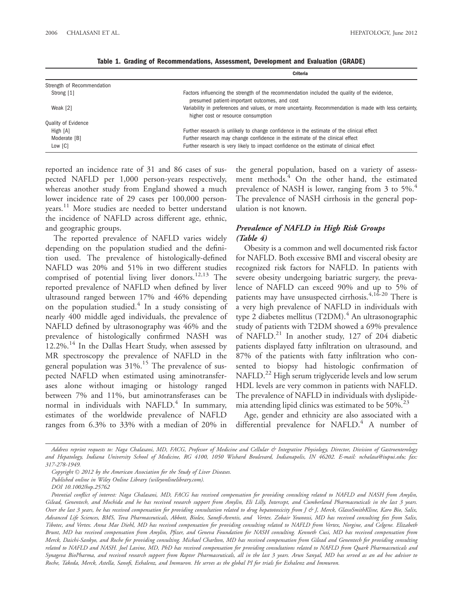|                            | Criteria                                                                                                                                       |
|----------------------------|------------------------------------------------------------------------------------------------------------------------------------------------|
| Strength of Recommendation |                                                                                                                                                |
| Strong [1]                 | Factors influencing the strength of the recommendation included the quality of the evidence,<br>presumed patient-important outcomes, and cost  |
| Weak [2]                   | Variability in preferences and values, or more uncertainty. Recommendation is made with less certainty,<br>higher cost or resource consumption |
| <b>Quality of Evidence</b> |                                                                                                                                                |
| High [A]                   | Further research is unlikely to change confidence in the estimate of the clinical effect                                                       |
| Moderate [B]               | Further research may change confidence in the estimate of the clinical effect                                                                  |
| $Low$ $ C $                | Further research is very likely to impact confidence on the estimate of clinical effect                                                        |

|  |  |  | Table 1. Grading of Recommendations, Assessment, Development and Evaluation (GRADE) |  |  |  |  |
|--|--|--|-------------------------------------------------------------------------------------|--|--|--|--|
|--|--|--|-------------------------------------------------------------------------------------|--|--|--|--|

reported an incidence rate of 31 and 86 cases of suspected NAFLD per 1,000 person-years respectively, whereas another study from England showed a much lower incidence rate of 29 cases per 100,000 personyears. <sup>11</sup> More studies are needed to better understand the incidence of NAFLD across different age, ethnic, and geographic groups.

The reported prevalence of NAFLD varies widely depending on the population studied and the definition used. The prevalence of histologically-defined NAFLD was 20% and 51% in two different studies comprised of potential living liver donors.<sup>12,13</sup> The reported prevalence of NAFLD when defined by liver ultrasound ranged between 17% and 46% depending on the population studied.<sup>4</sup> In a study consisting of nearly 400 middle aged individuals, the prevalence of NAFLD defined by ultrasonography was 46% and the prevalence of histologically confirmed NASH was 12.2%.<sup>14</sup> In the Dallas Heart Study, when assessed by MR spectroscopy the prevalence of NAFLD in the general population was  $31\%$ .<sup>15</sup> The prevalence of suspected NAFLD when estimated using aminotransferases alone without imaging or histology ranged between 7% and 11%, but aminotransferases can be normal in individuals with NAFLD. $4$  In summary, estimates of the worldwide prevalence of NAFLD ranges from 6.3% to 33% with a median of 20% in

the general population, based on a variety of assessment methods.<sup>4</sup> On the other hand, the estimated prevalence of NASH is lower, ranging from 3 to 5%.<sup>4</sup> The prevalence of NASH cirrhosis in the general population is not known.

# Prevalence of NAFLD in High Risk Groups (Table 4)

Obesity is a common and well documented risk factor for NAFLD. Both excessive BMI and visceral obesity are recognized risk factors for NAFLD. In patients with severe obesity undergoing bariatric surgery, the prevalence of NAFLD can exceed 90% and up to 5% of patients may have unsuspected cirrhosis.<sup>4,16-20</sup> There is a very high prevalence of NAFLD in individuals with type 2 diabetes mellitus (T2DM). $^{4}$  An ultrasonographic study of patients with T2DM showed a 69% prevalence of NAFLD.<sup>21</sup> In another study, 127 of 204 diabetic patients displayed fatty infiltration on ultrasound, and 87% of the patients with fatty infiltration who consented to biopsy had histologic confirmation of NAFLD.<sup>22</sup> High serum triglyceride levels and low serum HDL levels are very common in patients with NAFLD. The prevalence of NAFLD in individuals with dyslipidemia attending lipid clinics was estimated to be  $50\%$ .<sup>23</sup>

Age, gender and ethnicity are also associated with a differential prevalence for NAFLD.<sup>4</sup> A number of

Address reprint requests to: Naga Chalasani, MD, FACG, Professor of Medicine and Cellular & Integrative Physiology, Director, Division of Gastroenterology and Hepatology, Indiana University School of Medicine, RG 4100, 1050 Wishard Boulevard, Indianapolis, IN 46202. E-mail: nchalasa@iupui.edu; fax: 317-278-1949.

Copyright  $\odot$  2012 by the American Association for the Study of Liver Diseases.

Published online in Wiley Online Library (wileyonlinelibrary.com).

DOI 10.1002/hep.25762

Potential conflict of interest: Naga Chalasani, MD, FACG has received compensation for providing consulting related to NAFLD and NASH from Amylin, Gilead, Genentech, and Mochida and he has received research support from Amylin, Eli Lilly, Intercept, and Cumberland Pharmaceuticals in the last 3 years. Over the last 3 years, he has received compensation for providing consultation related to drug hepatotoxicity from J & J, Merck, GlaxoSmithKline, Karo Bio, Salix, Advanced Life Sciences, BMS, Teva Pharmaceuticals, Abbott, Biolex, Sanofi-Aventis, and Vertex. Zobair Younossi, MD has received consulting fees from Salix, Tibotec, and Vertex. Anna Mae Diehl, MD has received compensation for providing consulting related to NAFLD from Vertex, Norgine, and Celgene. Elizabeth Brunt, MD has received compensation from Amylin, Pfizer, and Geneva Foundation for NASH consulting. Kenneth Cusi, MD has received compensation from Merck, Daichi-Sankyo, and Roche for providing consulting. Michael Charlton, MD has received compensation from Gilead and Genentech for providing consulting related to NAFLD and NASH. Joel Lavine, MD, PhD has received compensation for providing consultations related to NAFLD from Quark Pharmaceuticals and Synageva BioPharma, and received research support from Raptor Pharmaceuticals, all in the last 3 years. Arun Sanyal, MD has served as an ad hoc advisor to Roche, Takeda, Merck, Astella, Sanofi, Exhalenz, and Immuron. He serves as the global PI for trials for Exhalenz and Immuron.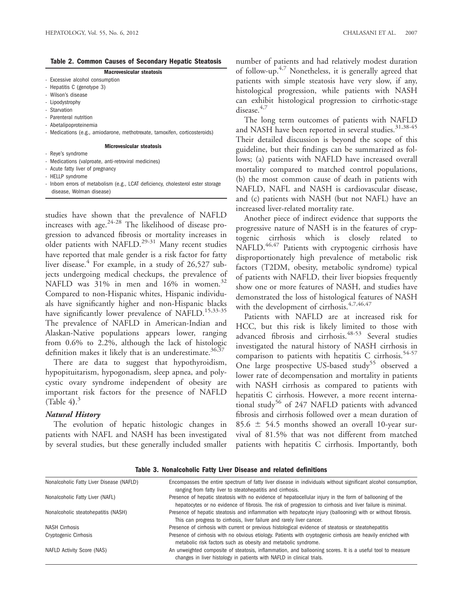|  |  |  |  |  | Table 2. Common Causes of Secondary Hepatic Steatosis |  |  |
|--|--|--|--|--|-------------------------------------------------------|--|--|
|--|--|--|--|--|-------------------------------------------------------|--|--|

|  | <b>Macrovesicular steatosis</b> |  |
|--|---------------------------------|--|
|  | - Excessive alcohol consumption |  |

- 
- Hepatitis C (genotype 3)
- Wilson's disease
- Lipodystrophy
- Starvation
- Parenteral nutrition - Abetalipoproteinemia
- 
- Medications (e.g., amiodarone, methotrexate, tamoxifen, corticosteroids)

#### Microvesicular steatosis

- Reye's syndrome
- Medications (valproate, anti-retroviral medicines)
- Acute fatty liver of pregnancy
- HELLP syndrome
- Inborn errors of metabolism (e.g., LCAT deficiency, cholesterol ester storage disease, Wolman disease)

studies have shown that the prevalence of NAFLD increases with age.<sup>24-28</sup> The likelihood of disease progression to advanced fibrosis or mortality increases in older patients with NAFLD.<sup>29-31</sup> Many recent studies have reported that male gender is a risk factor for fatty liver disease. $4$  For example, in a study of 26,527 subjects undergoing medical checkups, the prevalence of NAFLD was  $31\%$  in men and  $16\%$  in women.<sup>32</sup> Compared to non-Hispanic whites, Hispanic individuals have significantly higher and non-Hispanic blacks have significantly lower prevalence of NAFLD.<sup>15,33-35</sup> The prevalence of NAFLD in American-Indian and Alaskan-Native populations appears lower, ranging from 0.6% to 2.2%, although the lack of histologic definition makes it likely that is an underestimate.<sup>36,3</sup>

There are data to suggest that hypothyroidism, hypopituitarism, hypogonadism, sleep apnea, and polycystic ovary syndrome independent of obesity are important risk factors for the presence of NAFLD (Table 4). $3$ 

## Natural History

The evolution of hepatic histologic changes in patients with NAFL and NASH has been investigated by several studies, but these generally included smaller number of patients and had relatively modest duration of follow-up.<sup>4,7</sup> Nonetheless, it is generally agreed that patients with simple steatosis have very slow, if any, histological progression, while patients with NASH can exhibit histological progression to cirrhotic-stage disease.<sup>4,7</sup>

The long term outcomes of patients with NAFLD and NASH have been reported in several studies.<sup>31,38-45</sup> Their detailed discussion is beyond the scope of this guideline, but their findings can be summarized as follows; (a) patients with NAFLD have increased overall mortality compared to matched control populations, (b) the most common cause of death in patients with NAFLD, NAFL and NASH is cardiovascular disease, and (c) patients with NASH (but not NAFL) have an increased liver-related mortality rate.

Another piece of indirect evidence that supports the progressive nature of NASH is in the features of cryptogenic cirrhosis which is closely related to NAFLD.<sup>46,47</sup> Patients with cryptogenic cirrhosis have disproportionately high prevalence of metabolic risk factors (T2DM, obesity, metabolic syndrome) typical of patients with NAFLD, their liver biopsies frequently show one or more features of NASH, and studies have demonstrated the loss of histological features of NASH with the development of cirrhosis.<sup>4,7,46,47</sup>

Patients with NAFLD are at increased risk for HCC, but this risk is likely limited to those with advanced fibrosis and cirrhosis.48-53 Several studies investigated the natural history of NASH cirrhosis in comparison to patients with hepatitis C cirrhosis. $54-57$ One large prospective US-based study<sup>55</sup> observed a lower rate of decompensation and mortality in patients with NASH cirrhosis as compared to patients with hepatitis C cirrhosis. However, a more recent international study<sup>56</sup> of 247 NAFLD patients with advanced fibrosis and cirrhosis followed over a mean duration of 85.6  $\pm$  54.5 months showed an overall 10-year survival of 81.5% that was not different from matched patients with hepatitis C cirrhosis. Importantly, both

Table 3. Nonalcoholic Fatty Liver Disease and related definitions

| Nonalcoholic Fatty Liver Disease (NAFLD) | Encompasses the entire spectrum of fatty liver disease in individuals without significant alcohol consumption,<br>ranging from fatty liver to steatohepatitis and cirrhosis.                                           |
|------------------------------------------|------------------------------------------------------------------------------------------------------------------------------------------------------------------------------------------------------------------------|
| Nonalcoholic Fatty Liver (NAFL)          | Presence of hepatic steatosis with no evidence of hepatocellular injury in the form of ballooning of the<br>hepatocytes or no evidence of fibrosis. The risk of progression to cirrhosis and liver failure is minimal. |
| Nonalcoholic steatohepatitis (NASH)      | Presence of hepatic steatosis and inflammation with hepatocyte injury (ballooning) with or without fibrosis.<br>This can progress to cirrhosis, liver failure and rarely liver cancer.                                 |
| <b>NASH Cirrhosis</b>                    | Presence of cirrhosis with current or previous histological evidence of steatosis or steatohepatitis                                                                                                                   |
| Cryptogenic Cirrhosis                    | Presence of cirrhosis with no obvious etiology. Patients with cryptogenic cirrhosis are heavily enriched with<br>metabolic risk factors such as obesity and metabolic syndrome.                                        |
| NAFLD Activity Score (NAS)               | An unweighted composite of steatosis, inflammation, and ballooning scores. It is a useful tool to measure<br>changes in liver histology in patients with NAFLD in clinical trials.                                     |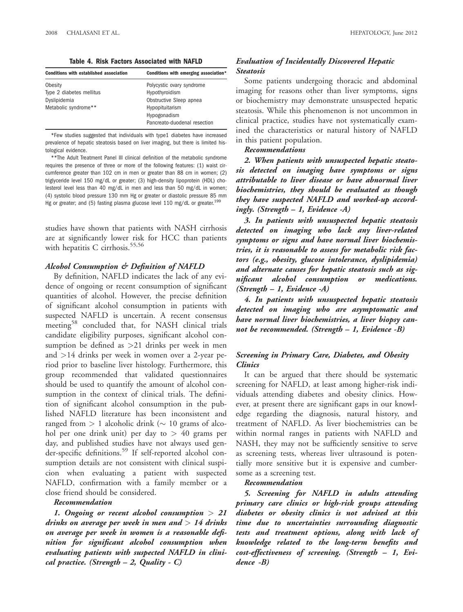Table 4. Risk Factors Associated with NAFLD

| Conditions with established association | Conditions with emerging association* |
|-----------------------------------------|---------------------------------------|
| Obesity                                 | Polycystic ovary syndrome             |
| Type 2 diabetes mellitus                | Hypothyroidism                        |
| Dyslipidemia                            | Obstructive Sleep apnea               |
| Metabolic syndrome**                    | Hypopituitarism                       |
|                                         | Hypogonadism                          |
|                                         | Pancreato-duodenal resection          |

\*Few studies suggested that individuals with type1 diabetes have increased prevalence of hepatic steatosis based on liver imaging, but there is limited histological evidence.

\*\*The Adult Treatment Panel III clinical definition of the metabolic syndrome requires the presence of three or more of the following features: (1) waist circumference greater than 102 cm in men or greater than 88 cm in women; (2) triglyceride level 150 mg/dL or greater; (3) high-density lipoprotein (HDL) cholesterol level less than 40 mg/dL in men and less than 50 mg/dL in women; (4) systolic blood pressure 130 mm Hg or greater or diastolic pressure 85 mm Hg or greater; and (5) fasting plasma glucose level 110 mg/dL or greater.<sup>199</sup>

studies have shown that patients with NASH cirrhosis are at significantly lower risk for HCC than patients with hepatitis C cirrhosis.<sup>55,56</sup>

## Alcohol Consumption & Definition of NAFLD

By definition, NAFLD indicates the lack of any evidence of ongoing or recent consumption of significant quantities of alcohol. However, the precise definition of significant alcohol consumption in patients with suspected NAFLD is uncertain. A recent consensus meeting<sup>58</sup> concluded that, for NASH clinical trials candidate eligibility purposes, significant alcohol consumption be defined as >21 drinks per week in men and >14 drinks per week in women over a 2-year period prior to baseline liver histology. Furthermore, this group recommended that validated questionnaires should be used to quantify the amount of alcohol consumption in the context of clinical trials. The definition of significant alcohol consumption in the published NAFLD literature has been inconsistent and ranged from  $> 1$  alcoholic drink ( $\sim 10$  grams of alcohol per one drink unit) per day to  $> 40$  grams per day, and published studies have not always used gender-specific definitions.<sup>59</sup> If self-reported alcohol consumption details are not consistent with clinical suspicion when evaluating a patient with suspected NAFLD, confirmation with a family member or a close friend should be considered.

## Recommendation

1. Ongoing or recent alcohol consumption  $> 21$ drinks on average per week in men and  $> 14$  drinks on average per week in women is a reasonable definition for significant alcohol consumption when evaluating patients with suspected NAFLD in clinical practice. (Strength  $-$  2, Quality - C)

## Evaluation of Incidentally Discovered Hepatic Steatosis

Some patients undergoing thoracic and abdominal imaging for reasons other than liver symptoms, signs or biochemistry may demonstrate unsuspected hepatic steatosis. While this phenomenon is not uncommon in clinical practice, studies have not systematically examined the characteristics or natural history of NAFLD in this patient population.

#### Recommendations

2. When patients with unsuspected hepatic steatosis detected on imaging have symptoms or signs attributable to liver disease or have abnormal liver biochemistries, they should be evaluated as though they have suspected NAFLD and worked-up accordingly. (Strength – 1, Evidence -A)

3. In patients with unsuspected hepatic steatosis detected on imaging who lack any liver-related symptoms or signs and have normal liver biochemistries, it is reasonable to assess for metabolic risk factors (e.g., obesity, glucose intolerance, dyslipidemia) and alternate causes for hepatic steatosis such as significant alcohol consumption or medications. (Strength – 1, Evidence -A)

4. In patients with unsuspected hepatic steatosis detected on imaging who are asymptomatic and have normal liver biochemistries, a liver biopsy cannot be recommended. (Strength – 1, Evidence -B)

# Screening in Primary Care, Diabetes, and Obesity Clinics

It can be argued that there should be systematic screening for NAFLD, at least among higher-risk individuals attending diabetes and obesity clinics. However, at present there are significant gaps in our knowledge regarding the diagnosis, natural history, and treatment of NAFLD. As liver biochemistries can be within normal ranges in patients with NAFLD and NASH, they may not be sufficiently sensitive to serve as screening tests, whereas liver ultrasound is potentially more sensitive but it is expensive and cumbersome as a screening test.

#### Recommendation

5. Screening for NAFLD in adults attending primary care clinics or high-risk groups attending diabetes or obesity clinics is not advised at this time due to uncertainties surrounding diagnostic tests and treatment options, along with lack of knowledge related to the long-term benefits and cost-effectiveness of screening. (Strength – 1, Evidence -B)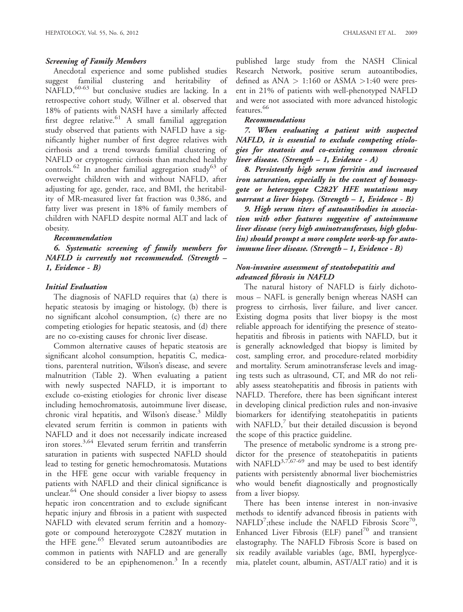## Screening of Family Members

Anecdotal experience and some published studies suggest familial clustering and heritability of NAFLD, <sup>60-63</sup> but conclusive studies are lacking. In a retrospective cohort study, Willner et al. observed that 18% of patients with NASH have a similarly affected first degree relative.  $61$  A small familial aggregation study observed that patients with NAFLD have a significantly higher number of first degree relatives with cirrhosis and a trend towards familial clustering of NAFLD or cryptogenic cirrhosis than matched healthy controls.<sup>62</sup> In another familial aggregation study<sup>63</sup> of overweight children with and without NAFLD, after adjusting for age, gender, race, and BMI, the heritability of MR-measured liver fat fraction was 0.386, and fatty liver was present in 18% of family members of children with NAFLD despite normal ALT and lack of obesity.

#### Recommendation

6. Systematic screening of family members for NAFLD is currently not recommended. (Strength – 1, Evidence - B)

#### Initial Evaluation

The diagnosis of NAFLD requires that (a) there is hepatic steatosis by imaging or histology, (b) there is no significant alcohol consumption, (c) there are no competing etiologies for hepatic steatosis, and (d) there are no co-existing causes for chronic liver disease.

Common alternative causes of hepatic steatosis are significant alcohol consumption, hepatitis C, medications, parenteral nutrition, Wilson's disease, and severe malnutrition (Table 2). When evaluating a patient with newly suspected NAFLD, it is important to exclude co-existing etiologies for chronic liver disease including hemochromatosis, autoimmune liver disease, chronic viral hepatitis, and Wilson's disease.<sup>3</sup> Mildly elevated serum ferritin is common in patients with NAFLD and it does not necessarily indicate increased iron stores.3,64 Elevated serum ferritin and transferrin saturation in patients with suspected NAFLD should lead to testing for genetic hemochromatosis. Mutations in the HFE gene occur with variable frequency in patients with NAFLD and their clinical significance is unclear.<sup>64</sup> One should consider a liver biopsy to assess hepatic iron concentration and to exclude significant hepatic injury and fibrosis in a patient with suspected NAFLD with elevated serum ferritin and a homozygote or compound heterozygote C282Y mutation in the HFE gene.<sup>65</sup> Elevated serum autoantibodies are common in patients with NAFLD and are generally considered to be an epiphenomenon.<sup>3</sup> In a recently

published large study from the NASH Clinical Research Network, positive serum autoantibodies, defined as  $ANA > 1:160$  or  $ASMA > 1:40$  were present in 21% of patients with well-phenotyped NAFLD and were not associated with more advanced histologic features.<sup>66</sup>

## Recommendations

7. When evaluating a patient with suspected NAFLD, it is essential to exclude competing etiologies for steatosis and co-existing common chronic liver disease. (Strength – 1, Evidence - A)

8. Persistently high serum ferritin and increased iron saturation, especially in the context of homozygote or heterozygote C282Y HFE mutations may warrant a liver biopsy. (Strength – 1, Evidence - B)

9. High serum titers of autoantibodies in association with other features suggestive of autoimmune liver disease (very high aminotransferases, high globulin) should prompt a more complete work-up for autoimmune liver disease. (Strength – 1, Evidence - B)

## Non-invasive assessment of steatohepatitis and advanced fibrosis in NAFLD

The natural history of NAFLD is fairly dichotomous – NAFL is generally benign whereas NASH can progress to cirrhosis, liver failure, and liver cancer. Existing dogma posits that liver biopsy is the most reliable approach for identifying the presence of steatohepatitis and fibrosis in patients with NAFLD, but it is generally acknowledged that biopsy is limited by cost, sampling error, and procedure-related morbidity and mortality. Serum aminotransferase levels and imaging tests such as ultrasound, CT, and MR do not reliably assess steatohepatitis and fibrosis in patients with NAFLD. Therefore, there has been significant interest in developing clinical prediction rules and non-invasive biomarkers for identifying steatohepatitis in patients with  $NAFLD$ , but their detailed discussion is beyond the scope of this practice guideline.

The presence of metabolic syndrome is a strong predictor for the presence of steatohepatitis in patients with  $NAFLD^{3,7,67-69}$  and may be used to best identify patients with persistently abnormal liver biochemistries who would benefit diagnostically and prognostically from a liver biopsy.

There has been intense interest in non-invasive methods to identify advanced fibrosis in patients with NAFLD<sup>7</sup>;these include the NAFLD Fibrosis Score<sup>70</sup>, Enhanced Liver Fibrosis (ELF) panel<sup>70</sup> and transient elastography. The NAFLD Fibrosis Score is based on six readily available variables (age, BMI, hyperglycemia, platelet count, albumin, AST/ALT ratio) and it is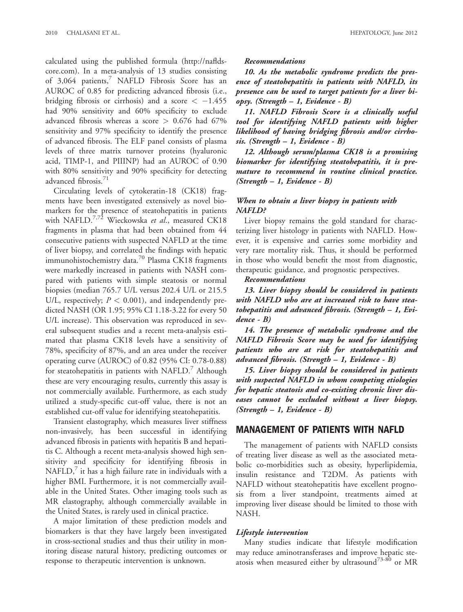calculated using the published formula (http://nafldscore.com). In a meta-analysis of 13 studies consisting of 3,064 patients,<sup>7</sup> NAFLD Fibrosis Score has an AUROC of 0.85 for predicting advanced fibrosis (i.e., bridging fibrosis or cirrhosis) and a score  $<-1.455$ had 90% sensitivity and 60% specificity to exclude advanced fibrosis whereas a score  $> 0.676$  had 67% sensitivity and 97% specificity to identify the presence of advanced fibrosis. The ELF panel consists of plasma levels of three matrix turnover proteins (hyaluronic acid, TIMP-1, and PIIINP) had an AUROC of 0.90 with 80% sensitivity and 90% specificity for detecting advanced fibrosis.<sup>71</sup>

Circulating levels of cytokeratin-18 (CK18) fragments have been investigated extensively as novel biomarkers for the presence of steatohepatitis in patients with NAFLD.<sup>7,72</sup> Wieckowska et al., measured CK18 fragments in plasma that had been obtained from 44 consecutive patients with suspected NAFLD at the time of liver biopsy, and correlated the findings with hepatic immunohistochemistry data.<sup>70</sup> Plasma CK18 fragments were markedly increased in patients with NASH compared with patients with simple steatosis or normal biopsies (median 765.7 U/L versus 202.4 U/L or 215.5 U/L, respectively;  $P < 0.001$ ), and independently predicted NASH (OR 1.95; 95% CI 1.18-3.22 for every 50 U/L increase). This observation was reproduced in several subsequent studies and a recent meta-analysis estimated that plasma CK18 levels have a sensitivity of 78%, specificity of 87%, and an area under the receiver operating curve (AUROC) of 0.82 (95% CI: 0.78-0.88) for steatohepatitis in patients with NAFLD.<sup>7</sup> Although these are very encouraging results, currently this assay is not commercially available. Furthermore, as each study utilized a study-specific cut-off value, there is not an established cut-off value for identifying steatohepatitis.

Transient elastography, which measures liver stiffness non-invasively, has been successful in identifying advanced fibrosis in patients with hepatitis B and hepatitis C. Although a recent meta-analysis showed high sensitivity and specificity for identifying fibrosis in  $NAFLD$ , it has a high failure rate in individuals with a higher BMI. Furthermore, it is not commercially available in the United States. Other imaging tools such as MR elastography, although commercially available in the United States, is rarely used in clinical practice.

A major limitation of these prediction models and biomarkers is that they have largely been investigated in cross-sectional studies and thus their utility in monitoring disease natural history, predicting outcomes or response to therapeutic intervention is unknown.

## Recommendations

10. As the metabolic syndrome predicts the presence of steatohepatitis in patients with NAFLD, its presence can be used to target patients for a liver biopsy. (Strength – 1, Evidence - B)

11. NAFLD Fibrosis Score is a clinically useful tool for identifying NAFLD patients with higher likelihood of having bridging fibrosis and/or cirrhosis. (Strength – 1, Evidence - B)

12. Although serum/plasma CK18 is a promising biomarker for identifying steatohepatitis, it is premature to recommend in routine clinical practice. (Strength – 1, Evidence - B)

## When to obtain a liver biopsy in patients with NAFLD?

Liver biopsy remains the gold standard for characterizing liver histology in patients with NAFLD. However, it is expensive and carries some morbidity and very rare mortality risk. Thus, it should be performed in those who would benefit the most from diagnostic, therapeutic guidance, and prognostic perspectives.

Recommendations

13. Liver biopsy should be considered in patients with NAFLD who are at increased risk to have steatohepatitis and advanced fibrosis. (Strength – 1, Evidence - B)

14. The presence of metabolic syndrome and the NAFLD Fibrosis Score may be used for identifying patients who are at risk for steatohepatitis and advanced fibrosis. (Strength  $-1$ , Evidence  $- B$ )

15. Liver biopsy should be considered in patients with suspected NAFLD in whom competing etiologies for hepatic steatosis and co-existing chronic liver diseases cannot be excluded without a liver biopsy. (Strength – 1, Evidence - B)

# MANAGEMENT OF PATIENTS WITH NAFLD

The management of patients with NAFLD consists of treating liver disease as well as the associated metabolic co-morbidities such as obesity, hyperlipidemia, insulin resistance and T2DM. As patients with NAFLD without steatohepatitis have excellent prognosis from a liver standpoint, treatments aimed at improving liver disease should be limited to those with NASH.

#### Lifestyle intervention

Many studies indicate that lifestyle modification may reduce aminotransferases and improve hepatic steatosis when measured either by ultrasound<sup>73-80</sup> or MR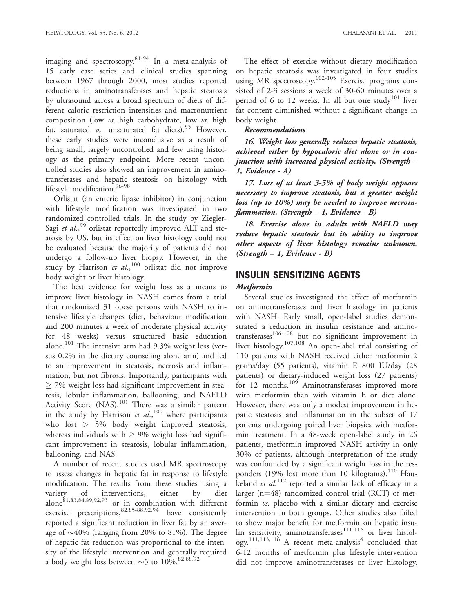imaging and spectroscopy.81-94 In a meta-analysis of 15 early case series and clinical studies spanning between 1967 through 2000, most studies reported reductions in aminotransferases and hepatic steatosis by ultrasound across a broad spectrum of diets of different caloric restriction intensities and macronutrient composition (low vs. high carbohydrate, low vs. high fat, saturated  $v$ s. unsaturated fat diets).<sup>95</sup> However, these early studies were inconclusive as a result of being small, largely uncontrolled and few using histology as the primary endpoint. More recent uncontrolled studies also showed an improvement in aminotransferases and hepatic steatosis on histology with lifestyle modification.<sup>96-98</sup>

Orlistat (an enteric lipase inhibitor) in conjunction with lifestyle modification was investigated in two randomized controlled trials. In the study by Ziegler-Sagi et al.,  $99$  orlistat reportedly improved ALT and steatosis by US, but its effect on liver histology could not be evaluated because the majority of patients did not undergo a follow-up liver biopsy. However, in the study by Harrison *et al.*,<sup>100</sup> orlistat did not improve body weight or liver histology.

The best evidence for weight loss as a means to improve liver histology in NASH comes from a trial that randomized 31 obese persons with NASH to intensive lifestyle changes (diet, behaviour modification and 200 minutes a week of moderate physical activity for 48 weeks) versus structured basic education alone.<sup>101</sup> The intensive arm had 9.3% weight loss (versus 0.2% in the dietary counseling alone arm) and led to an improvement in steatosis, necrosis and inflammation, but not fibrosis. Importantly, participants with  $\geq$  7% weight loss had significant improvement in steatosis, lobular inflammation, ballooning, and NAFLD Activity Score (NAS).<sup>101</sup> There was a similar pattern in the study by Harrison et  $al$ ,<sup>100</sup> where participants who lost > 5% body weight improved steatosis, whereas individuals with  $\geq$  9% weight loss had significant improvement in steatosis, lobular inflammation, ballooning, and NAS.

A number of recent studies used MR spectroscopy to assess changes in hepatic fat in response to lifestyle modification. The results from these studies using a variety of interventions, either by diet alone ${}^{81,83,84,89,92,93}$  or in combination with different exercise prescriptions, 82,85-88,92,94 have consistently reported a significant reduction in liver fat by an average of  $\sim$ 40% (ranging from 20% to 81%). The degree of hepatic fat reduction was proportional to the intensity of the lifestyle intervention and generally required a body weight loss between  $\sim$  5 to 10%.<sup>82,88,92</sup>

The effect of exercise without dietary modification on hepatic steatosis was investigated in four studies using MR spectroscopy.<sup>102-105</sup> Exercise programs consisted of 2-3 sessions a week of 30-60 minutes over a period of 6 to 12 weeks. In all but one study<sup>101</sup> liver fat content diminished without a significant change in body weight.

## Recommendations

16. Weight loss generally reduces hepatic steatosis, achieved either by hypocaloric diet alone or in conjunction with increased physical activity. (Strength – 1, Evidence - A)

17. Loss of at least 3-5% of body weight appears necessary to improve steatosis, but a greater weight loss (up to 10%) may be needed to improve necroinflammation. (Strength  $-1$ , Evidence  $-$  B)

18. Exercise alone in adults with NAFLD may reduce hepatic steatosis but its ability to improve other aspects of liver histology remains unknown. (Strength – 1, Evidence - B)

# INSULIN SENSITIZING AGENTS

## Metformin

Several studies investigated the effect of metformin on aminotransferases and liver histology in patients with NASH. Early small, open-label studies demonstrated a reduction in insulin resistance and aminotransferases<sup>106-108</sup> but no significant improvement in liver histology.<sup>107,108</sup> An open-label trial consisting of 110 patients with NASH received either metformin 2 grams/day (55 patients), vitamin E 800 IU/day (28 patients) or dietary-induced weight loss (27 patients) for 12 months.<sup>109</sup> Aminotransferases improved more with metformin than with vitamin E or diet alone. However, there was only a modest improvement in hepatic steatosis and inflammation in the subset of 17 patients undergoing paired liver biopsies with metformin treatment. In a 48-week open-label study in 26 patients, metformin improved NASH activity in only 30% of patients, although interpretation of the study was confounded by a significant weight loss in the responders (19% lost more than 10 kilograms).<sup>110</sup> Hau-.<br>keland *et al*.<sup>112</sup> reported a similar lack of efficacy in a larger ( $n=48$ ) randomized control trial (RCT) of metformin vs. placebo with a similar dietary and exercise intervention in both groups. Other studies also failed to show major benefit for metformin on hepatic insulin sensitivity, aminotransferases<sup>111-116</sup> or liver histology.<sup>111,113,116</sup> A recent meta-analysis<sup>4</sup> concluded that 6-12 months of metformin plus lifestyle intervention did not improve aminotransferases or liver histology,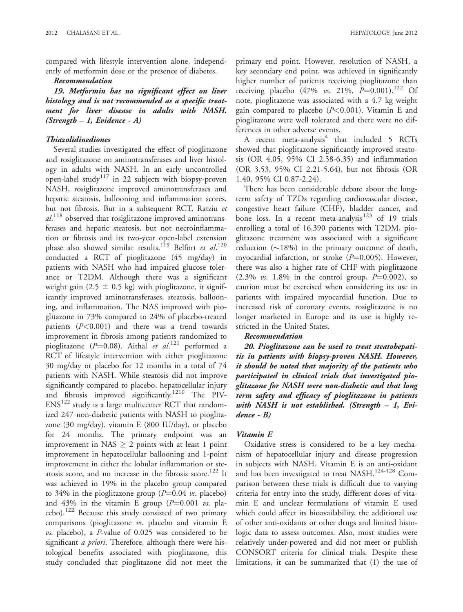compared with lifestyle intervention alone, independently of metformin dose or the presence of diabetes.

## Recommendation

19. Metformin has no significant effect on liver histology and is not recommended as a specific treatment for liver disease in adults with NASH. (Strength – 1, Evidence - A)

## Thiazolidinediones

Several studies investigated the effect of pioglitazone and rosiglitazone on aminotransferases and liver histology in adults with NASH. In an early uncontrolled open-label study<sup>117</sup> in 22 subjects with biopsy-proven NASH, rosiglitazone improved aminotransferases and hepatic steatosis, ballooning and inflammation scores, but not fibrosis. But in a subsequent RCT, Ratziu et  $al.^{118}$  observed that rosiglitazone improved aminotransferases and hepatic steatosis, but not necroinflammation or fibrosis and its two-year open-label extension phase also showed similar results.<sup>119</sup> Belfort et al.<sup>120</sup> conducted a RCT of pioglitazone (45 mg/day) in patients with NASH who had impaired glucose tolerance or T2DM. Although there was a significant weight gain (2.5  $\pm$  0.5 kg) with pioglitazone, it significantly improved aminotransferases, steatosis, ballooning, and inflammation. The NAS improved with pioglitazone in 73% compared to 24% of placebo-treated patients  $(P<0.001)$  and there was a trend towards improvement in fibrosis among patients randomized to pioglitazone ( $P=0.08$ ). Aithal et al.<sup>121</sup> performed a RCT of lifestyle intervention with either pioglitazone 30 mg/day or placebo for 12 months in a total of 74 patients with NASH. While steatosis did not improve significantly compared to placebo, hepatocellular injury and fibrosis improved significantly.<sup>1210</sup> The PIV- $ENS<sup>122</sup>$  study is a large multicenter RCT that randomized 247 non-diabetic patients with NASH to pioglitazone (30 mg/day), vitamin E (800 IU/day), or placebo for 24 months. The primary endpoint was an improvement in NAS  $\geq$  2 points with at least 1 point improvement in hepatocellular ballooning and 1-point improvement in either the lobular inflammation or steatosis score, and no increase in the fibrosis score.<sup>122</sup> It was achieved in 19% in the placebo group compared to 34% in the pioglitazone group ( $P=0.04$  vs. placebo) and 43% in the vitamin E group  $(P=0.001$  vs. placebo).<sup>122</sup> Because this study consisted of two primary comparisons (pioglitazone  $\nu$ s. placebo and vitamin E *, a*  $*P*-value of 0.025 was considered to be$ significant *a priori*. Therefore, although there were histological benefits associated with pioglitazone, this study concluded that pioglitazone did not meet the primary end point. However, resolution of NASH, a key secondary end point, was achieved in significantly higher number of patients receiving pioglitazone than receiving placebo (47% vs. 21%,  $P=0.001$ ).<sup>122</sup> Of note, pioglitazone was associated with a 4.7 kg weight gain compared to placebo  $(P<0.001)$ . Vitamin E and pioglitazone were well tolerated and there were no differences in other adverse events.

A recent meta-analysis $4$  that included 5 RCTs showed that pioglitazone significantly improved steatosis (OR 4.05, 95% CI 2.58-6.35) and inflammation (OR 3.53, 95% CI 2.21-5.64), but not fibrosis (OR 1.40, 95% CI 0.87-2.24).

There has been considerable debate about the longterm safety of TZDs regarding cardiovascular disease, congestive heart failure (CHF), bladder cancer, and bone loss. In a recent meta-analysis $123$  of 19 trials enrolling a total of 16,390 patients with T2DM, pioglitazone treatment was associated with a significant reduction  $(\sim 18\%)$  in the primary outcome of death, myocardial infarction, or stroke  $(P=0.005)$ . However, there was also a higher rate of CHF with pioglitazone  $(2.3\% \text{ vs. } 1.8\% \text{ in the control group, } P=0.002)$ , so caution must be exercised when considering its use in patients with impaired myocardial function. Due to increased risk of coronary events, rosiglitazone is no longer marketed in Europe and its use is highly restricted in the United States.

## Recommendation

20. Pioglitazone can be used to treat steatohepatitis in patients with biopsy-proven NASH. However, it should be noted that majority of the patients who participated in clinical trials that investigated pioglitazone for NASH were non-diabetic and that long term safety and efficacy of pioglitazone in patients with NASH is not established. (Strength – 1, Evidence - B)

#### Vitamin E

Oxidative stress is considered to be a key mechanism of hepatocellular injury and disease progression in subjects with NASH. Vitamin E is an anti-oxidant and has been investigated to treat NASH.124-128 Comparison between these trials is difficult due to varying criteria for entry into the study, different doses of vitamin E and unclear formulations of vitamin E used which could affect its bioavailability, the additional use of other anti-oxidants or other drugs and limited histologic data to assess outcomes. Also, most studies were relatively under-powered and did not meet or publish CONSORT criteria for clinical trials. Despite these limitations, it can be summarized that (1) the use of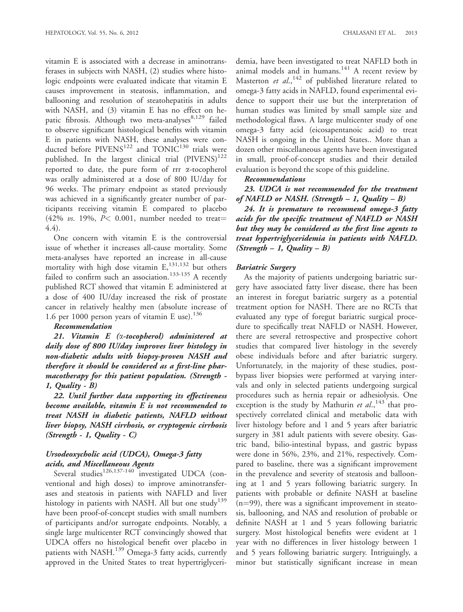vitamin E is associated with a decrease in aminotransferases in subjects with NASH, (2) studies where histologic endpoints were evaluated indicate that vitamin E causes improvement in steatosis, inflammation, and ballooning and resolution of steatohepatitis in adults with NASH, and (3) vitamin E has no effect on hepatic fibrosis. Although two meta-analyses<sup>8,129</sup> failed to observe significant histological benefits with vitamin E in patients with NASH, these analyses were conducted before  $PIVENS^{122}$  and  $TONIC^{130}$  trials were published. In the largest clinical trial  $(PIVENS)^{122}$ reported to date, the pure form of rrr a-tocopherol was orally administered at a dose of 800 IU/day for 96 weeks. The primary endpoint as stated previously was achieved in a significantly greater number of participants receiving vitamin E compared to placebo (42% vs. 19%,  $P<$  0.001, number needed to treat= 4.4).

One concern with vitamin E is the controversial issue of whether it increases all-cause mortality. Some meta-analyses have reported an increase in all-cause mortality with high dose vitamin  $E,$ <sup>131,132</sup> but others failed to confirm such an association.<sup>133-135</sup> A recently published RCT showed that vitamin E administered at a dose of 400 IU/day increased the risk of prostate cancer in relatively healthy men (absolute increase of 1.6 per 1000 person years of vitamin E use).<sup>136</sup>

#### Recommendation

21. Vitamin E (a-tocopherol) administered at daily dose of 800 IU/day improves liver histology in non-diabetic adults with biopsy-proven NASH and therefore it should be considered as a first-line pharmacotherapy for this patient population. (Strength - 1, Quality -  $B$ )

22. Until further data supporting its effectiveness become available, vitamin E is not recommended to treat NASH in diabetic patients, NAFLD without liver biopsy, NASH cirrhosis, or cryptogenic cirrhosis (Strength - 1, Quality -  $C$ )

# Ursodeoxycholic acid (UDCA), Omega-3 fatty acids, and Miscellaneous Agents

Several studies<sup>126,137-140</sup> investigated UDCA (conventional and high doses) to improve aminotransferases and steatosis in patients with NAFLD and liver histology in patients with NASH. All but one study<sup>139</sup> have been proof-of-concept studies with small numbers of participants and/or surrogate endpoints. Notably, a single large multicenter RCT convincingly showed that UDCA offers no histological benefit over placebo in patients with NASH.<sup>139</sup> Omega-3 fatty acids, currently approved in the United States to treat hypertriglyceri-

demia, have been investigated to treat NAFLD both in animal models and in humans. $141$  A recent review by Masterton et  $al.,<sup>142</sup>$  of published literature related to omega-3 fatty acids in NAFLD, found experimental evidence to support their use but the interpretation of human studies was limited by small sample size and methodological flaws. A large multicenter study of one omega-3 fatty acid (eicosapentanoic acid) to treat NASH is ongoing in the United States.. More than a dozen other miscellaneous agents have been investigated in small, proof-of-concept studies and their detailed evaluation is beyond the scope of this guideline.

## Recommendations

23. UDCA is not recommended for the treatment of NAFLD or NASH. (Strength  $-1$ , Quality  $- B$ )

24. It is premature to recommend omega-3 fatty acids for the specific treatment of NAFLD or NASH but they may be considered as the first line agents to treat hypertriglyceridemia in patients with NAFLD. (Strength  $-1$ , Quality  $-B$ )

#### Bariatric Surgery

As the majority of patients undergoing bariatric surgery have associated fatty liver disease, there has been an interest in foregut bariatric surgery as a potential treatment option for NASH. There are no RCTs that evaluated any type of foregut bariatric surgical procedure to specifically treat NAFLD or NASH. However, there are several retrospective and prospective cohort studies that compared liver histology in the severely obese individuals before and after bariatric surgery. Unfortunately, in the majority of these studies, postbypass liver biopsies were performed at varying intervals and only in selected patients undergoing surgical procedures such as hernia repair or adhesiolysis. One exception is the study by Mathurin *et al.*,<sup>143</sup> that prospectively correlated clinical and metabolic data with liver histology before and 1 and 5 years after bariatric surgery in 381 adult patients with severe obesity. Gastric band, bilio-intestinal bypass, and gastric bypass were done in 56%, 23%, and 21%, respectively. Compared to baseline, there was a significant improvement in the prevalence and severity of steatosis and ballooning at 1 and 5 years following bariatric surgery. In patients with probable or definite NASH at baseline  $(n=99)$ , there was a significant improvement in steatosis, ballooning, and NAS and resolution of probable or definite NASH at 1 and 5 years following bariatric surgery. Most histological benefits were evident at 1 year with no differences in liver histology between 1 and 5 years following bariatric surgery. Intriguingly, a minor but statistically significant increase in mean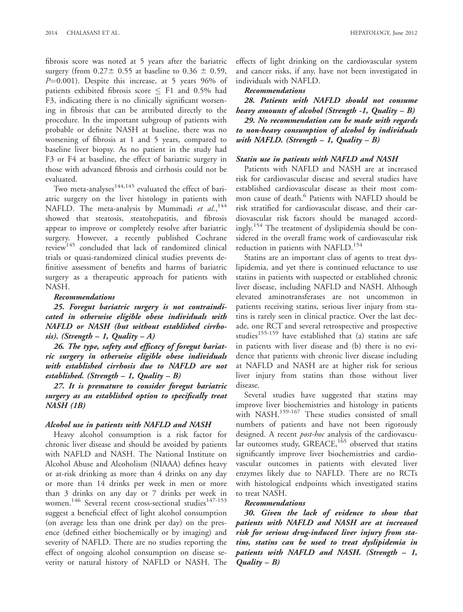fibrosis score was noted at 5 years after the bariatric surgery (from  $0.27 \pm 0.55$  at baseline to  $0.36 \pm 0.59$ ,  $P=0.001$ ). Despite this increase, at 5 years 96% of patients exhibited fibrosis score  $\leq$  F1 and 0.5% had F3, indicating there is no clinically significant worsening in fibrosis that can be attributed directly to the procedure. In the important subgroup of patients with probable or definite NASH at baseline, there was no worsening of fibrosis at 1 and 5 years, compared to baseline liver biopsy. As no patient in the study had F3 or F4 at baseline, the effect of bariatric surgery in those with advanced fibrosis and cirrhosis could not be evaluated.

Two meta-analyses $144,145$  evaluated the effect of bariatric surgery on the liver histology in patients with NAFLD. The meta-analysis by Mummadi et al.,  $^{144}$ showed that steatosis, steatohepatitis, and fibrosis appear to improve or completely resolve after bariatric surgery. However, a recently published Cochrane review<sup>145</sup> concluded that lack of randomized clinical trials or quasi-randomized clinical studies prevents definitive assessment of benefits and harms of bariatric surgery as a therapeutic approach for patients with NASH.

#### Recommendations

25. Foregut bariatric surgery is not contraindicated in otherwise eligible obese individuals with NAFLD or NASH (but without established cirrhosis). (Strength  $-1$ , Quality  $-A$ )

26. The type, safety and efficacy of foregut bariatric surgery in otherwise eligible obese individuals with established cirrhosis due to NAFLD are not established. (Strength  $-1$ , Quality  $- B$ )

27. It is premature to consider foregut bariatric surgery as an established option to specifically treat NASH (1B)

## Alcohol use in patients with NAFLD and NASH

Heavy alcohol consumption is a risk factor for chronic liver disease and should be avoided by patients with NAFLD and NASH. The National Institute on Alcohol Abuse and Alcoholism (NIAAA) defines heavy or at-risk drinking as more than 4 drinks on any day or more than 14 drinks per week in men or more than 3 drinks on any day or 7 drinks per week in women.<sup>146</sup> Several recent cross-sectional studies<sup>147-153</sup> suggest a beneficial effect of light alcohol consumption (on average less than one drink per day) on the presence (defined either biochemically or by imaging) and severity of NAFLD. There are no studies reporting the effect of ongoing alcohol consumption on disease severity or natural history of NAFLD or NASH. The effects of light drinking on the cardiovascular system and cancer risks, if any, have not been investigated in individuals with NAFLD.

Recommendations

28. Patients with NAFLD should not consume heavy amounts of alcohol (Strength  $-1$ , Quality  $- B$ )

29. No recommendation can be made with regards to non-heavy consumption of alcohol by individuals with NAFLD. (Strength  $-1$ , Quality  $- B$ )

## Statin use in patients with NAFLD and NASH

Patients with NAFLD and NASH are at increased risk for cardiovascular disease and several studies have established cardiovascular disease as their most common cause of death.<sup>6</sup> Patients with NAFLD should be risk stratified for cardiovascular disease, and their cardiovascular risk factors should be managed accordingly.<sup>154</sup> The treatment of dyslipidemia should be considered in the overall frame work of cardiovascular risk reduction in patients with NAFLD.<sup>154</sup>

Statins are an important class of agents to treat dyslipidemia, and yet there is continued reluctance to use statins in patients with suspected or established chronic liver disease, including NAFLD and NASH. Although elevated aminotransferases are not uncommon in patients receiving statins, serious liver injury from statins is rarely seen in clinical practice. Over the last decade, one RCT and several retrospective and prospective studies<sup>155-159</sup> have established that (a) statins are safe in patients with liver disease and (b) there is no evidence that patients with chronic liver disease including at NAFLD and NASH are at higher risk for serious liver injury from statins than those without liver disease.

Several studies have suggested that statins may improve liver biochemistries and histology in patients with NASH.<sup>159-167</sup> These studies consisted of small numbers of patients and have not been rigorously designed. A recent *post-hoc* analysis of the cardiovascular outcomes study, GREACE,<sup>165</sup> observed that statins significantly improve liver biochemistries and cardiovascular outcomes in patients with elevated liver enzymes likely due to NAFLD. There are no RCTs with histological endpoints which investigated statins to treat NASH.

#### Recommendations

30. Given the lack of evidence to show that patients with NAFLD and NASH are at increased risk for serious drug-induced liver injury from statins, statins can be used to treat dyslipidemia in patients with NAFLD and NASH. (Strength – 1,  $Quality - B)$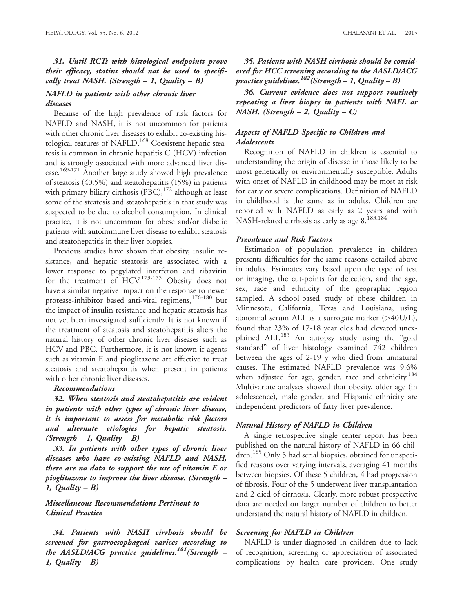## 31. Until RCTs with histological endpoints prove their efficacy, statins should not be used to specifically treat NASH. (Strength  $-1$ , Quality  $- B$ )

## NAFLD in patients with other chronic liver diseases

Because of the high prevalence of risk factors for NAFLD and NASH, it is not uncommon for patients with other chronic liver diseases to exhibit co-existing histological features of NAFLD.<sup>168</sup> Coexistent hepatic steatosis is common in chronic hepatitis C (HCV) infection and is strongly associated with more advanced liver disease.<sup>169-171</sup> Another large study showed high prevalence of steatosis (40.5%) and steatohepatitis (15%) in patients with primary biliary cirrhosis (PBC), $^{172}$  although at least some of the steatosis and steatohepatitis in that study was suspected to be due to alcohol consumption. In clinical practice, it is not uncommon for obese and/or diabetic patients with autoimmune liver disease to exhibit steatosis and steatohepatitis in their liver biopsies.

Previous studies have shown that obesity, insulin resistance, and hepatic steatosis are associated with a lower response to pegylated interferon and ribavirin for the treatment of  $HCV$ <sup>173-175</sup> Obesity does not have a similar negative impact on the response to newer protease-inhibitor based anti-viral regimens,<sup>176-180</sup> but the impact of insulin resistance and hepatic steatosis has not yet been investigated sufficiently. It is not known if the treatment of steatosis and steatohepatitis alters the natural history of other chronic liver diseases such as HCV and PBC. Furthermore, it is not known if agents such as vitamin E and pioglitazone are effective to treat steatosis and steatohepatitis when present in patients with other chronic liver diseases.

## Recommendations

32. When steatosis and steatohepatitis are evident in patients with other types of chronic liver disease, it is important to assess for metabolic risk factors and alternate etiologies for hepatic steatosis.  $(Strength - 1, Quality - B)$ 

33. In patients with other types of chronic liver diseases who have co-existing NAFLD and NASH, there are no data to support the use of vitamin E or pioglitazone to improve the liver disease. (Strength – 1, Quality  $-B$ )

# Miscellaneous Recommendations Pertinent to Clinical Practice

34. Patients with NASH cirrhosis should be screened for gastroesophageal varices according to the AASLD/ACG practice guidelines.<sup>181</sup>(Strength – 1, Quality – B)

35. Patients with NASH cirrhosis should be considered for HCC screening according to the AASLD/ACG practice guidelines.<sup>182</sup>(Strength – 1, Quality – B)

36. Current evidence does not support routinely repeating a liver biopsy in patients with NAFL or  $NASH.$  (Strength  $-2$ , Quality  $- C$ )

# Aspects of NAFLD Specific to Children and Adolescents

Recognition of NAFLD in children is essential to understanding the origin of disease in those likely to be most genetically or environmentally susceptible. Adults with onset of NAFLD in childhood may be most at risk for early or severe complications. Definition of NAFLD in childhood is the same as in adults. Children are reported with NAFLD as early as 2 years and with NASH-related cirrhosis as early as age 8.<sup>183,184</sup>

## Prevalence and Risk Factors

Estimation of population prevalence in children presents difficulties for the same reasons detailed above in adults. Estimates vary based upon the type of test or imaging, the cut-points for detection, and the age, sex, race and ethnicity of the geographic region sampled. A school-based study of obese children in Minnesota, California, Texas and Louisiana, using abnormal serum ALT as a surrogate marker  $(>40U/L)$ , found that 23% of 17-18 year olds had elevated unexplained ALT.<sup>183</sup> An autopsy study using the "gold standard'' of liver histology examined 742 children between the ages of 2-19 y who died from unnatural causes. The estimated NAFLD prevalence was 9.6% when adjusted for age, gender, race and ethnicity.<sup>184</sup> Multivariate analyses showed that obesity, older age (in adolescence), male gender, and Hispanic ethnicity are independent predictors of fatty liver prevalence.

## Natural History of NAFLD in Children

A single retrospective single center report has been published on the natural history of NAFLD in 66 children.<sup>185</sup> Only 5 had serial biopsies, obtained for unspecified reasons over varying intervals, averaging 41 months between biopsies. Of these 5 children, 4 had progression of fibrosis. Four of the 5 underwent liver transplantation and 2 died of cirrhosis. Clearly, more robust prospective data are needed on larger number of children to better understand the natural history of NAFLD in children.

## Screening for NAFLD in Children

NAFLD is under-diagnosed in children due to lack of recognition, screening or appreciation of associated complications by health care providers. One study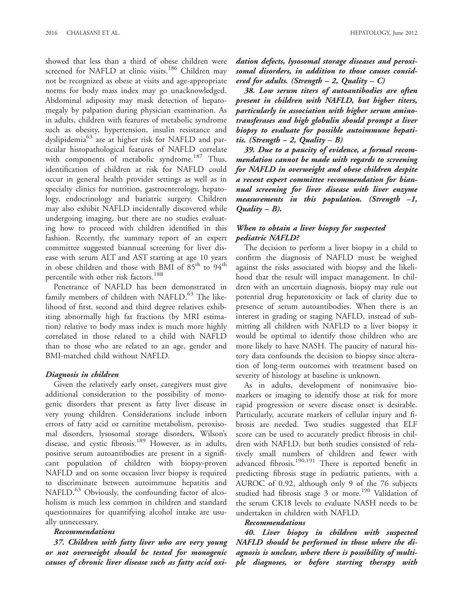showed that less than a third of obese children were screened for NAFLD at clinic visits.<sup>186</sup> Children may not be recognized as obese at visits and age-appropriate norms for body mass index may go unacknowledged. Abdominal adiposity may mask detection of hepatomegaly by palpation during physician examination. As in adults, children with features of metabolic syndrome such as obesity, hypertension, insulin resistance and dyslipidemia<sup>63</sup> are at higher risk for NAFLD and particular histopathological features of NAFLD correlate with components of metabolic syndrome.<sup>187</sup> Thus, identification of children at risk for NAFLD could occur in general health provider settings as well as in specialty clinics for nutrition, gastroenterology, hepatology, endocrinology and bariatric surgery. Children may also exhibit NAFLD incidentally discovered while undergoing imaging, but there are no studies evaluating how to proceed with children identified in this fashion. Recently, the summary report of an expert committee suggested biannual screening for liver disease with serum ALT and AST starting at age 10 years in obese children and those with BMI of  $85^{\text{th}}$  to  $94^{\text{th}}$ percentile with other risk factors.<sup>188</sup>

Penetrance of NAFLD has been demonstrated in family members of children with NAFLD.<sup>63</sup> The likelihood of first, second and third degree relatives exhibiting abnormally high fat fractions (by MRI estimation) relative to body mass index is much more highly correlated in those related to a child with NAFLD than to those who are related to an age, gender and BMI-matched child without NAFLD.

## Diagnosis in children

Given the relatively early onset, caregivers must give additional consideration to the possibility of monogenic disorders that present as fatty liver disease in very young children. Considerations include inborn errors of fatty acid or carnitine metabolism, peroxisomal disorders, lysosomal storage disorders, Wilson's disease, and cystic fibrosis.<sup>189</sup> However, as in adults, positive serum autoantibodies are present in a significant population of children with biopsy-proven NAFLD and on some occasion liver biopsy is required to discriminate between autoimmune hepatitis and NAFLD.<sup>63</sup> Obviously, the confounding factor of alcoholism is much less common in children and standard questionnaires for quantifying alcohol intake are usually unnecessary.

#### Recommendations

37. Children with fatty liver who are very young or not overweight should be tested for monogenic causes of chronic liver disease such as fatty acid oxidation defects, lysosomal storage diseases and peroxisomal disorders, in addition to those causes considered for adults. (Strength  $-$  2, Quality  $-$  C)

38. Low serum titers of autoantibodies are often present in children with NAFLD, but higher titers, particularly in association with higher serum aminotransferases and high globulin should prompt a liver biopsy to evaluate for possible autoimmune hepatitis. (Strength  $-2$ , Quality  $-B$ )

39. Due to a paucity of evidence, a formal recommendation cannot be made with regards to screening for NAFLD in overweight and obese children despite a recent expert committee recommendation for biannual screening for liver disease with liver enzyme measurements in this population. (Strength –1,  $Quality - B)$ .

# When to obtain a liver biopsy for suspected pediatric NAFLD?

The decision to perform a liver biopsy in a child to confirm the diagnosis of NAFLD must be weighed against the risks associated with biopsy and the likelihood that the result will impact management. In children with an uncertain diagnosis, biopsy may rule out potential drug hepatotoxicity or lack of clarity due to presence of serum autoantibodies. When there is an interest in grading or staging NAFLD, instead of submitting all children with NAFLD to a liver biopsy it would be optimal to identify those children who are more likely to have NASH. The paucity of natural history data confounds the decision to biopsy since alteration of long-term outcomes with treatment based on severity of histology at baseline is unknown.

As in adults, development of noninvasive biomarkers or imaging to identify those at risk for more rapid progression or severe disease onset is desirable. Particularly, accurate markers of cellular injury and fibrosis are needed. Two studies suggested that ELF score can be used to accurately predict fibrosis in children with NAFLD, but both studies consisted of relatively small numbers of children and fewer with advanced fibrosis.<sup>190,191</sup> There is reported benefit in predicting fibrosis stage in pediatric patients, with a AUROC of 0.92, although only 9 of the 76 subjects studied had fibrosis stage 3 or more.<sup>190</sup> Validation of the serum CK18 levels to evaluate NASH needs to be undertaken in children with NAFLD.

## Recommendations

40. Liver biopsy in children with suspected NAFLD should be performed in those where the diagnosis is unclear, where there is possibility of multiple diagnoses, or before starting therapy with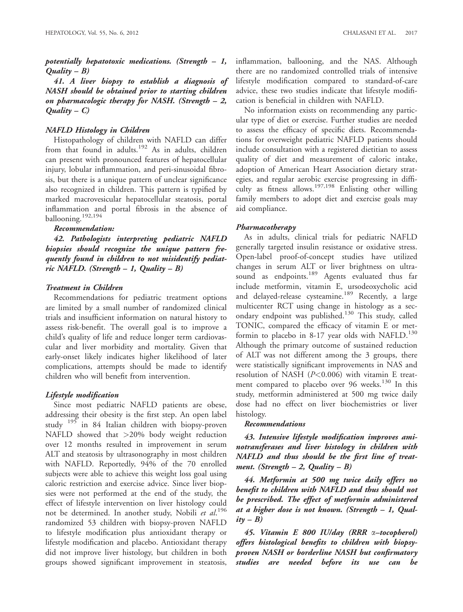potentially hepatotoxic medications. (Strength  $-1$ ,  $Quality - B)$ 

41. A liver biopsy to establish a diagnosis of NASH should be obtained prior to starting children on pharmacologic therapy for NASH. (Strength  $-2$ ,  $Quality - C)$ 

## NAFLD Histology in Children

Histopathology of children with NAFLD can differ from that found in adults.<sup>192</sup> As in adults, children can present with pronounced features of hepatocellular injury, lobular inflammation, and peri-sinusoidal fibrosis, but there is a unique pattern of unclear significance also recognized in children. This pattern is typified by marked macrovesicular hepatocellular steatosis, portal inflammation and portal fibrosis in the absence of ballooning.<sup>192,194</sup>

#### Recommendation:

42. Pathologists interpreting pediatric NAFLD biopsies should recognize the unique pattern frequently found in children to not misidentify pediatric NAFLD. (Strength  $-1$ , Quality  $-B$ )

## Treatment in Children

Recommendations for pediatric treatment options are limited by a small number of randomized clinical trials and insufficient information on natural history to assess risk-benefit. The overall goal is to improve a child's quality of life and reduce longer term cardiovascular and liver morbidity and mortality. Given that early-onset likely indicates higher likelihood of later complications, attempts should be made to identify children who will benefit from intervention.

## Lifestyle modification

Since most pediatric NAFLD patients are obese, addressing their obesity is the first step. An open label study <sup>195</sup> in 84 Italian children with biopsy-proven NAFLD showed that >20% body weight reduction over 12 months resulted in improvement in serum ALT and steatosis by ultrasonography in most children with NAFLD. Reportedly, 94% of the 70 enrolled subjects were able to achieve this weight loss goal using caloric restriction and exercise advice. Since liver biopsies were not performed at the end of the study, the effect of lifestyle intervention on liver histology could not be determined. In another study, Nobili et al.<sup>196</sup> randomized 53 children with biopsy-proven NAFLD to lifestyle modification plus antioxidant therapy or lifestyle modification and placebo. Antioxidant therapy did not improve liver histology, but children in both groups showed significant improvement in steatosis, inflammation, ballooning, and the NAS. Although there are no randomized controlled trials of intensive lifestyle modification compared to standard-of-care advice, these two studies indicate that lifestyle modification is beneficial in children with NAFLD.

No information exists on recommending any particular type of diet or exercise. Further studies are needed to assess the efficacy of specific diets. Recommendations for overweight pediatric NAFLD patients should include consultation with a registered dietitian to assess quality of diet and measurement of caloric intake, adoption of American Heart Association dietary strategies, and regular aerobic exercise progressing in difficulty as fitness allows.<sup>197,198</sup> Enlisting other willing family members to adopt diet and exercise goals may aid compliance.

## Pharmacotherapy

As in adults, clinical trials for pediatric NAFLD generally targeted insulin resistance or oxidative stress. Open-label proof-of-concept studies have utilized changes in serum ALT or liver brightness on ultrasound as endpoints.<sup>189</sup> Agents evaluated thus far include metformin, vitamin E, ursodeoxycholic acid and delayed-release cysteamine.<sup>189</sup> Recently, a large multicenter RCT using change in histology as a secondary endpoint was published.<sup>130</sup> This study, called TONIC, compared the efficacy of vitamin E or metformin to placebo in 8-17 year olds with NAFLD.<sup>130</sup> Although the primary outcome of sustained reduction of ALT was not different among the 3 groups, there were statistically significant improvements in NAS and resolution of NASH  $(P<0.006)$  with vitamin E treatment compared to placebo over 96 weeks.<sup>130</sup> In this study, metformin administered at 500 mg twice daily dose had no effect on liver biochemistries or liver histology.

#### Recommendations

43. Intensive lifestyle modification improves aminotransferases and liver histology in children with NAFLD and thus should be the first line of treatment. (Strength  $-$  2, Quality  $-$  B)

44. Metformin at 500 mg twice daily offers no benefit to children with NAFLD and thus should not be prescribed. The effect of metformin administered at a higher dose is not known. (Strength – 1, Qual $ity - B$ 

45. Vitamin E 800 IU/day (RRR a–tocopherol) offers histological benefits to children with biopsyproven NASH or borderline NASH but confirmatory studies are needed before its use can be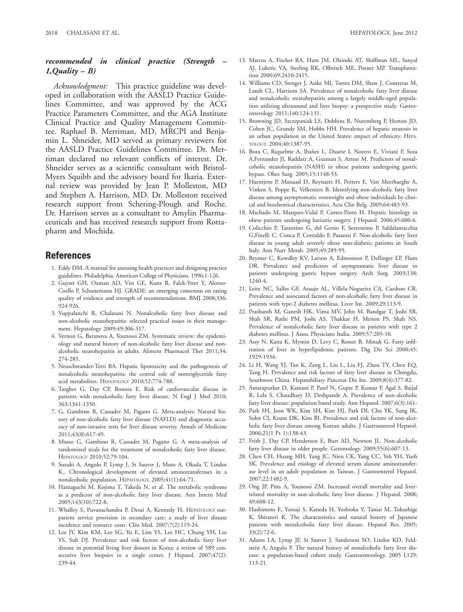# recommended in clinical practice (Strength –  $1, Quality - B)$

Acknowledgment: This practice guideline was developed in collaboration with the AASLD Practice Guidelines Committee, and was approved by the ACG Practice Parameters Committee, and the AGA Institute Clinical Practice and Quality Management Committee. Raphael B. Merriman, MD, MRCPI and Benjamin L. Shneider, MD served as primary reviewers for the AASLD Practice Guidelines Committee. Dr. Merriman declared no relevant conflicts of interest. Dr. Shneider serves as a scientific consultant with Bristol-Myers Squibb and the advisory board for Ikaria. External review was provided by Jean P. Molleston, MD and Stephen A. Harrison, MD. Dr. Molleston received research support from Schering-Plough and Roche. Dr. Harrison serves as a consultant to Amylin Pharmaceuticals and has received research support from Rottapharm and Mochida.

## References

- 1. Eddy DM. A manual for assessing health practices and designing practice guidelines. Philadelphia. American College of Physicians. 1996;1-126.
- 2. Guyatt GH, Oxman AD, Vist GE, Kunz R, Falck-Ytter Y, Alonso-Coello P, Schunemann HJ. GRADE: an emerging consensus on rating quality of evidence and strength of recommendations. BMJ 2008;336: 924-926.
- 3. Vuppalanchi R, Chalasani N. Nonalcoholic fatty liver disease and non-alcoholic steatohepatitis: selected practical issues in their management. Hepatology 2009;49:306-317.
- 4. Vernon G, Baranova A, Younossi ZM. Systematic review: the epidemiology and natural history of non-alcoholic fatty liver disease and nonalcoholic steatohepatitis in adults. Aliment Pharmacol Ther 2011;34: 274-285.
- 5. Neuschwander-Tetri BA. Hepatic lipotoxicity and the pathogenesis of nonalcoholic steatohepatitis: the central role of nontriglyceride fatty acid metabolites. HEPATOLOGY 2010;52:774-788.
- 6. Targher G, Day CP, Bonora E. Risk of cardiovascular disease in patients with nonalcoholic fatty liver disease. N Engl J Med 2010; 363:1341-1350.
- 7. G, Gambino R, Cassader M, Pagano G. Meta-analysis: Natural history of non-alcoholic fatty liver disease (NAFLD) and diagnostic accuracy of non-invasive tests for liver disease severity. Annals of Medicine 2011;43(8):617-49.
- 8. Musso G, Gambino R, Cassader M, Pagano G. A meta-analysis of randomized trials for the treatment of nonalcoholic fatty liver disease. HEPATOLOGY 2010;52:79-104.
- 9. Suzuki A, Angulo P, Lymp J, St Sauver J, Muto A, Okada T, Lindor K.. Chronological development of elevated aminotransferases in a nonalcoholic population. HEPATOLOGY. 2005;41(1):64-71.
- 10. Hamaguchi M, Kojima T, Takeda N, et al. The metabolic syndrome as a predictor of non-alcoholic fatty liver disease. Ann Intern Med 2005;143(10):722-8.
- 11. Whalley S, Puvanachandra P, Desai A, Kennedy H. HEPATOLOGY outpatient service provision in secondary care: a study of liver disease incidence and resource costs. Clin Med. 2007;7(2):119-24.
- 12. Lee JY, Kim KM, Lee SG, Yu E, Lim YS, Lee HC, Chung YH, Lee YS, Suh DJ. Prevalence and risk factors of non-alcoholic fatty liver disease in potential living liver donors in Korea: a review of 589 consecutive liver biopsies in a single center. J Hepatol. 2007;47(2): 239-44.
- 13. Marcos A, Fischer RA, Ham JM, Olzinski AT, Shiffman ML, Sanyal AJ, Luketic VA, Sterling RK, Olbrisch ME, Posner MP. Transplantation 2000;69:2410-2415.
- 14. Williams CD, Stenger J, Asike MI, Torres DM, Shaw J, Contreras M, Landt CL, Harrison SA. Prevalence of nonalcoholic fatty liver disease and nonalcoholic steatohepatitis among a largely middle-aged population utilizing ultrasound and liver biopsy: a prospective study. Gastroenterology 2011;140:124-131.
- 15. Browning JD, Szczepaniak LS, Dobbins R, Nuremberg P, Horton JD, Cohen JC, Grundy SM, Hobbs HH. Prevalence of hepatic steatosis in an urban population in the United States: impact of ethnicity. HEPA-TOLOGY. 2004;40:1387-95.
- 16. Boza C, Riquelme A, Ibañez L, Duarte I, Norero E, Viviani P, Soza A,Fernandez JI, Raddatz A, Guzman S, Arrese M. Predictors of nonalcoholic steatohepatitis (NASH) in obese patients undergoing gastric bypass. Obes Surg. 2005;15:1148-53.
- 17. Haentjens P, Massaad D, Reynaert H, Peeters E, Van Meerhaeghe A, Vinken S, Poppe K, Velkeniers B. Identifying non-alcoholic fatty liver disease among asymptomatic overweight and obese individuals by clinical and biochemical characteristics. Acta Clin Belg. 2009;64:483-93.
- 18. Machado M, Marques-Vidal P, Cortez-Pinto H. Hepatic histology in obese patients undergoing bariatric surgery. J Hepatol. 2006;45:600-6.
- 19. Colicchio P, Tarantino G, del Genio F, Sorrentino P, Saldalamacchia G,Finelli C, Conca P, Contaldo F, Pasanisi F. Non-alcoholic fatty liver disease in young adult severely obese non-diabetic patients in South Italy. Ann Nutr Metab. 2005;49:289-95.
- 20. Beymer C, Kowdley KV, Larson A, Edmonson P, Dellinger EP, Flum DR. Prevalence and predictors of asymptomatic liver disease in patients undergoing gastric bypass surgery. Arch Surg. 2003;138: 1240-4.
- 21. Leite NC, Salles GF, Araujo AL, Villela-Nogueira CA, Cardoso CR. Prevalence and associated factors of non-alcoholic fatty liver disease in patients with type-2 diabetes mellitus. Liver Int. 2009;29:113-9.
- 22. Prashanth M, Ganesh HK, Vima MV, John M, Bandgar T, Joshi SR, Shah SR, Rathi PM, Joshi AS, Thakkar H, Menon PS, Shah NS. Prevalence of nonalcoholic fatty liver disease in patients with type 2 diabetes mellitus. J Assoc Physicians India. 2009;57:205-10.
- 23. Assy N, Kaita K, Mymin D, Levy C, Rosser B, Minuk G. Fatty infiltration of liver in hyperlipidemic patients. Dig Dis Sci 2000;45: 1929-1934.
- 24. Li H, Wang YJ, Tan K, Zeng L, Liu L, Liu FJ, Zhou TY, Chen EQ, Tang H. Prevalence and risk factors of fatty liver disease in Chengdu, Southwest China. Hepatobiliary Pancreat Dis Int. 2009;8(4):377-82.
- 25. Amarapurkar D, Kamani P, Patel N, Gupte P, Kumar P, Agal S, Baijal R, Lala S, Chaudhary D, Deshpande A. Prevalence of non-alcoholic fatty liver disease: population based study. Ann Hepatol. 2007;6(3):161-
- 26. Park SH, Jeon WK, Kim SH, Kim HJ, Park DI, Cho YK, Sung IK, Sohn CI, Keum DK, Kim BI. Prevalence and risk factors of non-alcoholic fatty liver disease among Korean adults. J Gastroenterol Hepatol. 2006;21(1 Pt 1):138-43.
- 27. Frith J, Day CP, Henderson E, Burt AD, Newton JL. Non-alcoholic fatty liver disease in older people. Gerontology. 2009;55(6):607-13.
- 28. Chen CH, Huang MH, Yang JC, Nien CK, Yang CC, Yeh YH, Yueh SK. Prevalence and etiology of elevated serum alanine aminotransferase level in an adult population in Taiwan. J Gastroenterol Hepatol. 2007;22:1482-9.
- 29. Ong JP, Pitts A, Younossi ZM. Increased overall mortality and liverrelated mortality in non-alcoholic fatty liver disease. J Hepatol. 2008; 49:608-12.
- 30. Hashimoto E, Yatsuji S, Kaneda H, Yoshioka Y, Taniai M, Tokushige K, Shiratori K. The characteristics and natural history of Japanese patients with nonalcoholic fatty liver disease. Hepatol Res. 2005; 33(2):72-6.
- 31. Adams LA, Lymp JF, St Sauver J, Sanderson SO, Lindor KD, Feldstein A, Angulo P. The natural history of nonalcoholic fatty liver disease: a population-based cohort study. Gastroenterology. 2005 l;129: 113-21.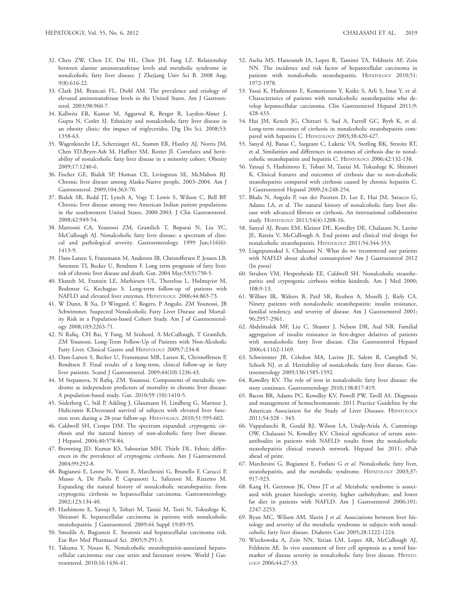- 32. Chen ZW, Chen LY, Dai HL, Chen JH, Fang LZ. Relationship between alanine aminotransferase levels and metabolic syndrome in nonalcoholic fatty liver disease. J Zhejiang Univ Sci B. 2008 Aug; 9(8):616-22.
- 33. Clark JM, Brancati FL, Diehl AM. The prevalence and etiology of elevated aminotransferase levels in the United States. Am J Gastroenterol. 2003;98:960-7.
- 34. Kallwitz ER, Kumar M, Aggarwal R, Berger R, Layden-Almer J, Gupta N, Cotler SJ. Ethnicity and nonalcoholic fatty liver disease in an obesity clinic: the impact of triglycerides. Dig Dis Sci. 2008;53: 1358-63.
- 35. Wagenknecht LE, Scherzinger AL, Stamm ER, Hanley AJ, Norris JM, Chen YD,Bryer-Ash M, Haffner SM, Rotter JI. Correlates and heritability of nonalcoholic fatty liver disease in a minority cohort. Obesity 2009;17:1240-6.
- 36. Fischer GE, Bialek SP, Homan CE, Livingston SE, McMahon BJ. Chronic liver disease among Alaska-Native people, 2003–2004. Am J Gastroenterol. 2009;104:363-70.
- 37. Bialek SR, Redd JT, Lynch A, Vogt T, Lewis S, Wilson C, Bell BP. Chronic liver disease among two American Indian patient populations in the southwestern United States, 2000-2003. J Clin Gastroenterol. 2008;42:949-54.
- 38. Matteoni CA, Younossi ZM, Gramlich T, Boparai N, Liu YC, McCullough AJ. Nonalcoholic fatty liver disease: a spectrum of clinical and pathological severity. Gastroenterology. 1999 Jun;116(6): 1413-9.
- 39. Dam-Larsen S, Franzmann M, Andersen IB, Christoffersen P, Jensen LB, Sørensen TI, Becker U, Bendtsen F. Long term prognosis of fatty liver: risk of chronic liver disease and death. Gut. 2004 May;53(5):750-5.
- 40. Ekstedt M, Franzén LE, Mathiesen UL, Thorelius L, Holmqvist M, Bodemar G, Kechagias S. Long-term follow-up of patients with NAFLD and elevated liver enzymes. HEPATOLOGY. 2006;44:865-73.
- 41. W Dunn, R Xu, D Wingard, C Rogers, P Angulo, ZM Younossi, JB Schwimmer. Suspected Nonalcoholic Fatty Liver Disease and Mortality Risk in a Population-based Cohort Study. Am J of Gastroenterology 2008;103:2263-71.
- 42. N Rafiq, CH Bai, Y Fang, M Srishord, A McCullough, T Gramlich, ZM Younossi. Long-Term Follow-Up of Patients with Non-Alcoholic Fatty Liver. Clinical Gastro and HEPATOLOGY 2009;7:234-8.
- 43. Dam-Larsen S, Becker U, Franzmann MB, Larsen K, Christoffersen P, Bendtsen F. Final results of a long-term, clinical follow-up in fatty liver patients. Scand J Gastroenterol. 2009;44(10):1236-43.
- 44. M Stepanova, N Rafiq, ZM. Younossi. Components of metabolic syndrome as independent predictors of mortality in chronic liver disease: A population-based study. Gut. 2010;59 (10):1410-5.
- 45. Söderberg C, Stål P, Askling J, Glaumann H, Lindberg G, Marmur J, Hultcrantz R.Decreased survival of subjects with elevated liver function tests during a 28-year follow-up. HEPATOLOGY. 2010;51:595-602.
- 46. Caldwell SH, Crespo DM. The spectrum expanded: cryptogenic cirrhosis and the natural history of non-alcoholic fatty liver disease. J Hepatol. 2004;40:578-84.
- 47. Browning JD, Kumar KS, Saboorian MH, Thiele DL. Ethnic differences in the prevalence of cryptogenic cirrhosis. Am J Gastroenterol. 2004;99:292-8.
- 48. Bugianesi E, Leone N, Vanni E, Marchesini G, Brunello F, Carucci P, Musso A, De Paolis P, Capussotti L, Salizzoni M, Rizzetto M. Expanding the natural history of nonalcoholic steatohepatitis: from cryptogenic cirrhosis to hepatocellular carcinoma. Gastroenterology. 2002;123:134-40.
- 49. Hashimoto E, Yatsuji S, Tobari M, Taniai M, Torii N, Tokushige K, Shiratori K. hepatocellular carcinoma in patients with nonalcoholic steatohepatitis. J Gastroenterol. 2009;44 Suppl 19:89-95.
- 50. Smedile A, Bugianesi E. Steatosis and hepatocellular carcinoma risk. Eur Rev Med Pharmacol Sci. 2005;9:291-3.
- 51. Takuma Y, Nouso K. Nonalcoholic steatohepatitis-associated hepatocellular carcinoma: our case series and literature review. World J Gastroenterol. 2010;16:1436-41.
- 52. Ascha MS, Hanouneh IA, Lopez R, Tamimi TA, Feldstein AF, Zein NN. The incidence and risk factor of hepatocellular carcinoma in patients with nonalcoholic steatohepatitis. HEPATOLOGY 2010;51: 1972-1978.
- 53. Yasui K, Hashimoto E, Komorizono Y, Koike S, Arli S, Imai Y, et al. Characteristics of patients with nonalcoholic steatohepatitis who develop hepatocellular carcinoma. Clin Gastroenterol Hepatol 2011;9: 428-433.
- 54. Hui JM, Kench JG, Chitturi S, Sud A, Farrell GC, Byth K, et al. Long-term outcomes of cirrhosis in nonalcoholic steatohepatitis compared with hepatitis C. HEPATOLOGY 2003;38:420-427.
- 55. Sanyal AJ, Banas C, Sargeant C, Luketic VA, Sterling RK, Stravitz RT, et al. Similarities and differences in outcomes of cirrhosis due to nonalcoholic steatohepatitis and hepatitis C. HEPATOLOGY 2006;42:132-138.
- 56. Yatsuji S, Hashimoto E, Tobari M, Taniai M, Tokushige K, Shiratori K. Clinical features and outcomes of cirrhosis due to non-alcoholic steatohepatitis compared with cirrhosis caused by chronic hepatitis C. J Gastroenterol Hepatol 2009;24:248-254.
- 57. Bhala N, Angulo P, van der Poorten D, Lee E, Hui JM, Saracco G, Adams LA, et al. The natural history of nonalcoholic fatty liver disease with advanced fibrosis or cirrhosis. An international collaborative study. HEPATOLOGY 2011;54(4):1208-16.
- 58. Sanyal AJ, Brunt EM, Kleiner DE, Kowdley DE, Chalasani N, Lavine JE, Ratziu V, McCullough A. End points and clinical trial design for nonalcoholic steatohepatitis. HEPATOLOGY 2011;54:344-353.
- 59. Liagnpunsakul S, Chalasani N. What do we recommend our patients with NAFLD about alcohol consumption? Am J Gastroenterol 2012 (In press)
- 60. Struben VM, Hespenheide EE, Caldwell SH. Nonalcoholic steatohepatitis and cryptogenic cirrhosis within kindreds. Am J Med 2000; 108:9-13.
- 61. Willner IR, Walters B, Patil SR, Reuben A, Morelli J, Riely CA. Ninety patients with nonalcoholic steatohepatitis: insulin resistance, familial tendency, and severity of disease. Am J Gastroenterol 2001; 96:2957-2961.
- 62. Abdelmalek MF, Liu C, Shuster J, Nelson DR, Asal NR. Familial aggregation of insulin resistance in first-degree delatives of patients with nonalcoholic fatty liver disease. Clin Gastroenterol Hepatol 2006;4:1162-1169.
- 63. Schwimmer JB, Celedon MA, Lavine JE, Salem R, Campbell N, Schork NJ, et al. Heritability of nonalcoholic fatty liver disease. Gastroenterology 2009;136:1585-1592.
- 64. Kowdley KV. The role of iron in nonalcoholic fatty liver disease: the story continues. Gastroenterology 2010;138:817-819.
- 65. Bacon BR, Adams PC, Kowdley KV, Powell PW, Tavill AS. Diagnosis and management of hemochromatosis: 2011 Practice Guideline by the American Association for the Study of Liver Diseases. HEPATOLOGY 2011;54:328 - 343.
- 66. Vuppalanchi R, Gould RJ, Wilson LA, Unalp-Arida A, Cummings OW, Chalasani N, Kowdley KV. Clinical significance of serum autoantibodies in patients with NAFLD: results from the nonalcoholic steatohepatitis clinical research network. Hepatol Int 2011; ePub ahead of print.
- 67. Marchesini G, Bugianesi E, Forlani G et al. Nonalcoholic fatty liver, steatohepatitis, and the metabolic syndrome. HEPATOLOGY 2003;37: 917-923.
- 68. Kang H, Greenson JK, Omo JT et al. Metabolic syndrome is associated with greater histologic severity, higher carbohydrate, and lower fat diet in patients with NAFLD. Am J Gastroenterol 2006;101: 2247-2253.
- 69. Ryan MC, Wilson AM, Slavin J et al. Associations between liver histology and severity of the metabolic syndrome in subjects with nonalcoholic fatty liver disease. Diabetes Care 2005;28:1222-1224.
- 70. Wieckowska A, Zein NN, Yerian LM, Lopez AR, McCullough AJ, Feldstein AE. In vivo assessment of liver cell apoptosis as a novel biomarker of disease severity in nonalcoholic fatty liver disease. HEPATO-LOGY 2006;44:27-33.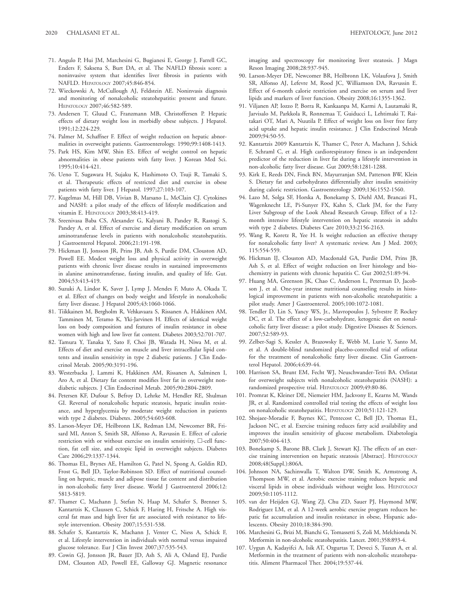- 71. Angulo P, Hui JM, Marchesini G, Bugianesi E, George J, Farrell GC, Enders F, Saksena S, Burt DA, et al. The NAFLD fibrosis score: a noninvasive system that identifies liver fibrosis in patients with NAFLD. HEPATOLOGY 2007;45:846-854.
- 72. Wieckowski A, McCullough AJ, Feldstein AE. Noninvasis diagnosis and monitoring of nonalcoholic steatohepatitis: present and future. HEPATOLOGY 2007;46:582-589.
- 73. Andersen T, Gluud C, Franzmann MB, Christoffersen P. Hepatic effects of dietary weight loss in morbidly obese subjects. J Hepatol. 1991;12:224-229.
- 74. Palmer M, Schaffner F. Effect of weight reduction on hepatic abnormalities in overweight patients. Gastroenterology. 1990;99:1408-1413.
- 75. Park HS, Kim MW, Shin ES. Effect of weight control on hepatic abnormalities in obese patients with fatty liver. J Korean Med Sci. 1995;10:414-421.
- 76. Ueno T, Sugawara H, Sujaku K, Hashimoto O, Tsuji R, Tamaki S, et al. Therapeutic effects of restricted diet and exercise in obese patients with fatty liver. J Hepatol. 1997;27:103-107.
- 77. Kugelmas M, Hill DB, Vivian B, Marsano L, McClain CJ. Cytokines and NASH: a pilot study of the effects of lifestyle modification and vitamin E. HEPATOLOGY 2003;38:413-419.
- 78. Sreenivasa Baba CS, Alexander G, Kalyani B, Pandey R, Rastogi S, Pandey A, et al. Effect of exercise and dietary modification on serum aminotransferase levels in patients with nonalcoholic steatohepatitis. J Gastroenterol Hepatol. 2006;21:191-198.
- 79. Hickman IJ, Jonsson JR, Prins JB, Ash S, Purdie DM, Clouston AD, Powell EE. Modest weight loss and physical activity in overweight patients with chronic liver disease results in sustained improvements in alanine aminotransferase, fasting insulin, and quality of life. Gut. 2004;53:413-419.
- 80. Suzuki A, Lindor K, Saver J, Lymp J, Mendes F, Muto A, Okada T, et al. Effect of changes on body weight and lifestyle in nonalcoholic fatty liver disease. J Hepatol 2005;43:1060-1066.
- 81. Tiikkainen M, Bergholm R, Vehkavaara S, Rissanen A, Hakkinen AM, Tamminen M, Teramo K, Yki-Jarvinen H. Effects of identical weight loss on body composition and features of insulin resistance in obese women with high and low liver fat content. Diabetes 2003;52:701-707.
- 82. Tamura Y, Tanaka Y, Sato F, Choi JB, Watada H, Niwa M, et al. Effects of diet and exercise on muscle and liver intracellular lipid contents and insulin sensitivity in type 2 diabetic patients. J Clin Endocrinol Metab. 2005;90:3191-196.
- 83. Westerbacka J, Lammi K, Hakkinen AM, Rissanen A, Salminen I, Aro A, et al. Dietary fat content modifies liver fat in overweight nondiabetic subjects. J Clin Endocrinol Metab. 2005;90:2804-2809.
- 84. Petersen KF, Dufour S, Befroy D, Lehrke M, Hendler RE, Shulman GI. Reversal of nonalcoholic hepatic steatosis, hepatic insulin resistance, and hyperglycemia by moderate weight reduction in patients with type 2 diabetes. Diabetes. 2005;54:603-608.
- 85. Larson-Meyer DE, Heilbronn LK, Redman LM, Newcomer BR, Frisard MI, Anton S, Smith SR, Alfonso A, Ravussin E. Effect of calorie restriction with or without exercise on insulin sensitivity,  $\Box$ -cell function, fat cell size, and ectopic lipid in overweight subjects. Diabetes Care 2006;29:1337-1344.
- 86. Thomas EL, Brynes AE, Hamilton G, Patel N, Spong A, Goldin RD, Frost G, Bell JD, Taylor-Robinson SD. Effect of nutritional counselling on hepatic, muscle and adipose tissue fat content and distribution in non-alcoholic fatty liver disease. World J Gastroenterol 2006;12: 5813-5819.
- 87. Thamer C, Machann J, Stefan N, Haap M, Schafer S, Brenner S, Kantartzis K, Claussen C, Schick F, Haring H, Fritsche A. High visceral fat mass and high liver fat are associated with resistance to lifestyle intervention. Obesity 2007;15:531-538.
- 88. Schafer S, Kantartzis K, Machann J, Venter C, Niess A, Schick F, et al. Lifestyle intervention in individuals with normal versus impaired glucose tolerance. Eur J Clin Invest 2007;37:535-543.
- 89. Cowin GJ, Jonsson JR, Bauer JD, Ash S, Ali A, Osland EJ, Purdie DM, Clouston AD, Powell EE, Galloway GJ. Magnetic resonance

imaging and spectroscopy for monitoring liver steatosis. J Magn Reson Imaging 2008;28:937-945.

- 90. Larson-Meyer DE, Newcomer BR, Heilbronn LK, Volaufova J, Smith SR, Alfonso AJ, Lefevre M, Rood JC, Williamson DA, Ravussin E. Effect of 6-month calorie restriction and exercise on serum and liver lipids and markers of liver function. Obesity 2008;16:1355-1362.
- 91. Viljanen AP, Iozzo P, Borra R, Kankaanpa M, Karmi A, Lautamaki R, Jarvisalo M, Parkkola R, Ronnemaa T, Guiducci L, Lehtimaki T, Raitakari OT, Mari A, Nuutila P. Effect of weight loss on liver free fatty acid uptake and hepatic insulin resistance. J Clin Endocrinol Metab 2009;94:50-55.
- 92. Kantartzis 2009 Kantartzis K, Thamer C, Peter A, Machann J, Schick F, Schraml C, et al. High cardiorespiratory fitness is an independent predictor of the reduction in liver fat during a lifestyle intervention in non-alcoholic fatty liver disease. Gut 2009;58:1281-1288.
- 93. Kirk E, Reeds DN, Finck BN, Mayurranjan SM, Patterson BW, Klein S. Dietary fat and carbohydrates differentially alter insulin sensitivity during caloric restriction. Gastroenterology 2009;136:1552-1560.
- 94. Lazo M, Solga SF, Horska A, Bonekamp S, Diehl AM, Brancati FL, Wagenknecht LE, Pi-Sunyer FX, Kahn S, Clark JM, for the Fatty Liver Subgroup of the Look Ahead Research Group. Effect of a 12 month intensive lifestyle intervention on hepatic steatosis in adults with type 2 diabetes. Diabetes Care 2010;33:2156-2163.
- 95. Wang R, Koretz R, Yee H. Is weight reduction an effective therapy for nonalcoholic fatty liver? A systematic review. Am J Med. 2003; 115:554-559.
- 96. Hickman IJ, Clouston AD, Macdonald GA, Purdie DM, Prins JB, Ash S, et al. Effect of weight reduction on liver histology and biochemistry in patients with chronic hepatitis C. Gut 2002;51:89-94.
- 97. Huang MA, Greenson JK, Chao C, Anderson L, Peterman D, Jacobson J, et al. One-year intense nutritional counseling results in histological improvement in patients with non-alcoholic steatohepatitis: a pilot study. Amer J Gastroenterol. 2005;100:1072-1081.
- 98. Tendler D, Lin S, Yancy WS, Jr., Mavropoulos J, Sylvestre P, Rockey DC, et al. The effect of a low-carbohydrate, ketogenic diet on nonalcoholic fatty liver disease: a pilot study. Digestive Diseases & Sciences. 2007;52:589-93.
- 99. Zelber-Sagi S, Kessler A, Brazowsky E, Webb M, Lurie Y, Santo M, et al. A double-blind randomized placebo-controlled trial of orlistat for the treatment of nonalcoholic fatty liver disease. Clin Gastroenterol Hepatol. 2006;4:639-44.
- 100. Harrison SA, Brunt EM, Fecht WJ, Neuschwander-Tetri BA. Orlistat for overweight subjects with nonalcoholic steatohepatitis (NASH): a randomized prospective trial. HEPATOLOGY 2009;49:80-86.
- 101. Promrat K, Kleiner DE, Niemeier HM, Jackvony E, Kearns M, Wands JR, et al. Randomized controlled trial testing the effects of weight loss on nonalcoholic steatohepatitis. HEPATOLOGY 2010;51:121-129.
- 102. Shojaee-Moradie F, Baynes KC, Pentecost C, Bell JD, Thomas EL, Jackson NC, et al. Exercise training reduces fatty acid availability and improves the insulin sensitivity of glucose metabolism. Diabetologia 2007;50:404-413.
- 103. Bonekamp S, Barone BB, Clark J, Stewart KJ. The effects of an exercise training intervention on hepatic steatosis [Abstract]. HEPATOLOGY 2008;48(Suppl.):806A.
- 104. Johnson NA, Sachinwalla T, Walton DW, Smith K, Armstrong A, Thompson MW, et al. Aerobic exercise training reduces hepatic and visceral lipids in obese individuals without weight loss. HEPATOLOGY 2009;50:1105-1112.
- 105. van der Heijden GJ, Wang ZJ, Chu ZD, Sauer PJ, Haymond MW, Rodriguez LM, et al. A 12-week aerobic exercise program reduces hepatic fat accumulation and insulin resistance in obese, Hispanic adolescents. Obesity 2010;18:384-390.
- 106. Marchesini G, Brizi M, Bianchi G, Tomassetti S, Zoli M, Melchionda N. Metformin in non-alcoholic steatohepatitis. Lancet. 2001;358:893-4.
- 107. Uygun A, Kadayifci A, Isik AT, Ozgurtas T, Deveci S, Tuzun A, et al. Metformin in the treatment of patients with non-alcoholic steatohepatitis. Aliment Pharmacol Ther. 2004;19:537-44.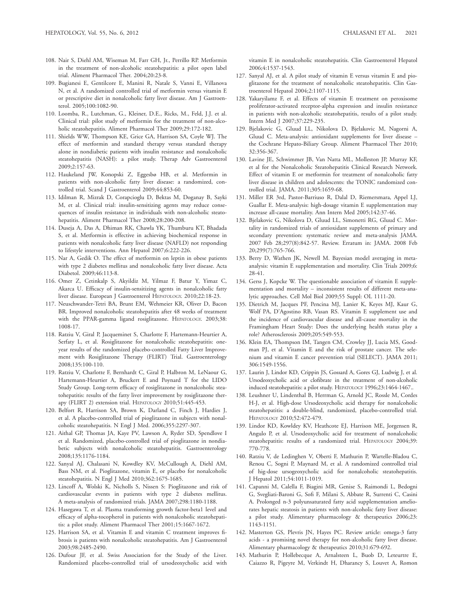- 108. Nair S, Diehl AM, Wiseman M, Farr GH, Jr., Perrillo RP. Metformin in the treatment of non-alcoholic steatohepatitis: a pilot open label trial. Aliment Pharmacol Ther. 2004;20:23-8.
- 109. Bugianesi E, Gentilcore E, Manini R, Natale S, Vanni E, Villanova N, et al. A randomized controlled trial of metformin versus vitamin E or prescriptive diet in nonalcoholic fatty liver disease. Am J Gastroenterol. 2005;100:1082-90.
- 110. Loomba, R., Lutchman, G., Kleiner, D.E., Ricks, M., Feld, J.J. et al. Clinical trial: pilot study of metformin for the treatment of non-alcoholic steatohepatitis. Aliment Pharmacol Ther 2009;29:172-182.
- 111. Shields WW, Thompson KE, Grice GA, Harrison SA, Coyle WJ. The effect of metformin and standard therapy versus standard therapy alone in nondiabetic patients with insulin resistance and nonalcoholic steatohepatitis (NASH): a pilot study. Therap Adv Gastroenterol 2009;2:157-63.
- 112. Haukeland JW, Konopski Z, Eggesbø HB, et al. Metformin in patients with non-alcoholic fatty liver disease: a randomized, controlled trial. Scand J Gastroenterol 2009;44:853-60.
- 113. Idilman R, Mizrak D, Corapcioglu D, Bektas M, Doganay B, Sayki M, et al. Clinical trial: insulin-sensitizing agents may reduce consequences of insulin resistance in individuals with non-alcoholic steatohepatitis. Aliment Pharmacol Ther 2008;28:200-208.
- 114. Duseja A, Das A, Dhiman RK, Chawla YK, Thumburu KT, Bhadada S, et al. Metformin is effective in achieving biochemical response in patients with nonalcoholic fatty liver disease (NAFLD) not responding to lifestyle interventions. Ann Hepatol 2007;6:222-226.
- 115. Nar A, Gedik O. The effect of metformin on leptin in obese patients with type 2 diabetes mellitus and nonalcoholic fatty liver disease. Acta Diabetol. 2009;46:113-8.
- 116. Omer Z, Cetinkalp S, Akyildiz M, Yilmaz F, Batur Y, Yimaz C, Akarca U. Efficacy of insulin-sensitizing agents in nonalcoholic fatty liver disease. European J Gastroenterol HEPATOLOGY. 2010;22:18-23.
- 117. Neuschwander-Tetri BA, Brunt EM, Wehmeier KR, Oliver D, Bacon BR. Improved nonalcoholic steatohepatitis after 48 weeks of treatment with the PPAR-gamma ligand rosiglitazone. HEPATOLOGY. 2003;38: 1008-17.
- 118. Ratziu V, Giral P, Jacqueminet S, Charlotte F, Hartemann-Heurtier A, Serfaty L, et al. Rosiglitazone for nonalcoholic steatohepatitis: oneyear results of the randomized placebo-controlled Fatty Liver Improvement with Rosiglitazone Therapy (FLIRT) Trial. Gastroenterology 2008;135:100-110.
- 119. Ratziu V, Charlotte F, Bernhardt C, Giral P, Halbron M, LeNaour G, Hartemann-Heurtier A, Bruckert E and Poynard T for the LIDO Study Group. Long-term efficacy of rosiglitazone in nonalcoholic steatohepatitis: results of the fatty liver improvement by rosiglitazone therapy (FLIRT 2) extension trial. HEPATOLOGY 2010;51:445-453.
- 120. Belfort R, Harrison SA, Brown K, Darland C, Finch J, Hardies J, et al. A placebo-controlled trial of pioglitazone in subjects with nonalcoholic steatohepatitis. N Engl J Med. 2006;355:2297-307.
- 121. Aithal GP, Thomas JA, Kaye PV, Lawson A, Ryder SD, Spendlove I et al. Randomized, placebo-controlled trial of pioglitazone in nondiabetic subjects with nonalcoholic steatohepatitis. Gastroenterology 2008;135:1176-1184.
- 122. Sanyal AJ, Chalasani N, Kowdley KV, McCullough A, Diehl AM, Bass NM, et al. Pioglitazone, vitamin E, or placebo for nonalcoholic steatohepatitis. N Engl J Med 2010;362:1675-1685.
- 123. Lincoff A, Wolski K, Nicholls S, Nissen S: Pioglitazone and risk of cardiovascular events in patients with type 2 diabetes mellitus. A meta-analysis of randomized trials. JAMA 2007;298:1180-1188.
- 124. Hasegawa T, et al. Plasma transforming growth factor-beta1 level and efficacy of alpha-tocopherol in patients with nonalcoholic steatohepatitis: a pilot study. Aliment Pharmacol Ther 2001;15:1667-1672.
- 125. Harrison SA, et al. Vitamin E and vitamin C treatment improves fibrosis is patients with nonalcoholic steatohepatitis. Am J Gastroenterol 2003;98:2485-2490.
- 126. Dufour JF, et al. Swiss Association for the Study of the Liver. Randomized placebo-controlled trial of ursodeoxycholic acid with

vitamin E in nonalcoholic steatohepatitis. Clin Gastroenterol Hepatol 2006;4:1537-1543.

- 127. Sanyal AJ, et al. A pilot study of vitamin E versus vitamin E and pioglitazone for the treatment of nonalcoholic steatohepatitis. Clin Gastroenterol Hepatol 2004;2:1107-1115.
- 128. Yakaryilamz F, et al. Effects of vitamin E treatment on peroxisome proliferator-activated receptor-alpha expression and insulin resistance in patients with non-alcoholic steatohepatitis, results of a pilot study. Intern Med J 2007;37:229-235.
- 129. Bjelakovic G, Gluud LL, Nikolova D, Bjelakovic M, Nagorni A, Gluud C. Meta-analysis: antioxidant supplements for liver disease – the Cochrane Hepato-Biliary Group. Aliment Pharmacol Ther 2010; 32:356-367.
- 130. Lavine JE, Schwimmer JB, Van Natta ML, Molleston JP, Murray KF, et al for the Nonalcoholic Steatohepatitis Clinical Research Network. Effect of vitamin E or metformin for treatment of nonalcoholic fatty liver disease in children and adolescents: the TONIC randomized controlled trial. JAMA. 2011;305:1659-68.
- 131. Miller ER 3rd, Pastor-Barriuso R, Dalal D, Riemersmara, Appel LJ, Guallar E. Meta-analysis: high-dosage vitamin E supplementation may increase all-cause mortality. Ann Intern Med 2005;142:37-46.
- 132. Bjelakovic G, Nikolova D, Gluud LL, Simonetti RG, Gluud C. Mortality in randomized trials of antioxidant supplements of primary and secondary prevention: systematic review and meta-analysis JAMA. 2007 Feb 28;297(8):842-57. Review. Erratum in: JAMA. 2008 Feb 20;299(7):765-766.
- 133. Berry D, Wathen JK, Newell M. Bayesian model averaging in metaanalysis: vitamin E supplementation and mortality. Clin Trials 2009;6: 28-41.
- 134. Gerss J, Kopcke W. The questionable association of vitamin E supplementation and mortality – inconsistent results of different meta-analytic approaches. Cell Mol Biol 2009;55 Suppl: OL 1111-20.
- 135. Dietrich M, Jacques PF, Pencina MJ, Lanier K, Keyes MJ, Kaur G, Wolf PA, D'Agostino RB, Vasan RS. Vitamin E supplement use and the incidence of cardiovascular disease and all-cause mortality in the Framingham Heart Study: Does the underlying health status play a role? Atherosclerosis 2009;205:549-553.
- 136. Klein EA, Thompson IM, Tangen CM, Crowley JJ, Lucia MS, Goodman PJ, et al. Vitamin E and the risk of prostate cancer. The selenium and vitamin E cancer prevention trial (SELECT). JAMA 2011; 306:1549-1556.
- 137. Laurin J, Lindor KD, Crippin JS, Gossard A, Gores GJ, Ludwig J, et al. Ursodeoxycholic acid or clofibrate in the treatment of non-alcoholic induced steatohepatitis: a pilot study. HEPATOLOGY 1996;23:1464-1467..
- 138. Leushner U, Lindenthal B, Herrman G, Arnold JC, Rossle M, Cordes H-J, et al. High-dose Ursodeoxycholic acid therapy for nonalcoholic steatohepatitis: a double-blind, randomized, placebo-controlled trial. HEPATOLOGY 2010;52:472-479.
- 139. Lindor KD, Kowldey KV, Heathcote EJ, Harrison ME, Jorgensen R, Angulo P, et al. Ursodeoxycholic acid for treatment of nonalcoholic steatohepatitis: results of a randomized trial. HEPATOLOGY 2004;39: 770-778.
- 140. Ratziu V, de Ledinghen V, Oberti F, Mathurin P, Wartelle-Bladou C, Renou C, Sogni P, Maynard M, et al. A randomized controlled trial of hig-dose ursogeoxycholic acid for nonalcoholic steatohepatitis. J Hepatol 2011;54:1011-1019.
- 141. Capanni M, Calella F, Biagini MR, Genise S, Raimondi L, Bedogni G, Svegliati-Baroni G, Sofi F, Milani S, Abbate R, Surrenti C, Casini A. Prolonged n-3 polyunsaturated fatty acid supplementation ameliorates hepatic steatosis in patients with non-alcoholic fatty liver disease: a pilot study. Alimentary pharmacology & therapeutics 2006;23: 1143-1151.
- 142. Masterton GS, Plevris JN, Hayes PC. Review article: omega-3 fatty acids - a promising novel therapy for non-alcoholic fatty liver disease. Alimentary pharmacology & therapeutics 2010;31:679-692.
- 143. Mathurin P, Hollebecque A, Arnalsteen L, Buob D, Leteurtre E, Caiazzo R, Pigeyre M, Verkindt H, Dharancy S, Louvet A, Romon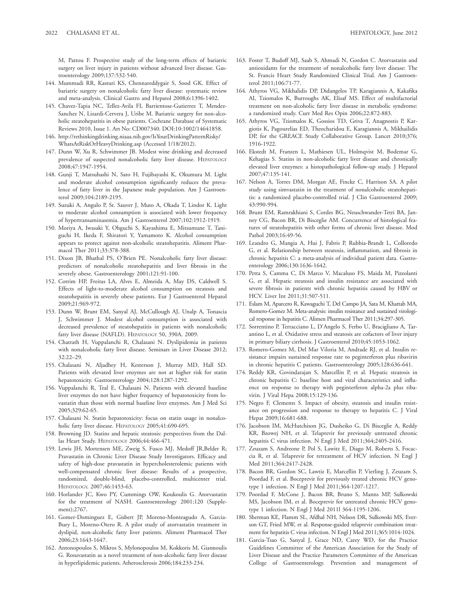M, Pattou F. Prospective study of the long-term effects of bariatric surgery on liver injury in patients without advanced liver disease. Gastroenterology 2009;137:532-540.

- 144. Mummadi RR, Kasturi KS, Chennareddygair S, Sood GK. Effect of bariatric surgery on nonalcoholic fatty liver disease: systematic review and meta-analysis. Clinical Gastro and Hepatol 2008;6:1396-1402.
- 145. Chavez-Tapia NC, Tellez-Avila FI, Barrientose-Gutierrez T, Mendez-Sanchez N, Lizardi-Cervera J, Uribe M. Bariatric surgery for non-alcoholic steatohepatitis in obese patients. Cochrane Database of Systematic Reviews 2010, Issue 1. Art No: CD007340. DOI:10:1002/14641858.
- 146. http://rethinkingdrinking.niaaa.nih.gov/IsYourDrinkingPatternRisky/ WhatsAtRiskOrHeavyDrinking.asp (Accessed 1/18/2012).
- 147. Dunn W, Xu R, Schwimmer JB. Modest wine drinking and decreased prevalence of suspected nonalcoholic fatty liver disease. HEPATOLOGY 2008;47:1947-1954.
- 148. Gunji T, Matsuhashi N, Sato H, Fujibayashi K, Okumura M. Light and moderate alcohol consumption significantly reduces the prevalence of fatty liver in the Japanese male population. Am J Gastroenterol 2009;104:2189-2195.
- 149. Suzuki A, Angulo P, St. Sauver J, Muto A, Okada T, Lindor K. Light to moderate alcohol consumption is associated with lower frequency of hypertransaminasemia. Am J Gastroenterol 2007;102:1912-1919.
- 150. Moriya A, Iwasaki Y, Ohguchi S, Kayashima E, Mitsumune T, Taniguchi H, Ikeda F, Shiratori Y, Yamamoto K. Alcohol consumption appears to protect against non-alcoholic steatohepatitis. Aliment Pharmacol Ther 2011;33:378-388.
- 151. Dixon JB, Bhathal PS, O'Brien PE. Nonalcoholic fatty liver disease: predictors of nonalcoholic steatohepatitis and liver fibrosis in the severely obese. Gastroenterology 2001;121:91-100.
- 152. Cotrim HP, Freitas LA, Alves E, Almeida A, May DS, Caldwell S. Effects of light-to-moderate alcohol consumption on steatosis and steatohepatitis in severely obese patients. Eur J Gastroenterol Hepatol 2009;21:969-972.
- 153. Dunn W, Brunt EM, Sanyal AJ, McCullough AJ, Unalp A, Tonascia J, Schwimmer J. Modest alcohol consumption is associated with decreased prevalence of steatohepatitis in patients with nonalcoholic fatty liver disease (NAFLD). HEPATOLOGY 50, 390A. 2009.
- 154. Chatrath H, Vuppalanchi R, Chalasani N. Dyslipidemia in patients with nonalcoholic fatty liver disease. Seminars in Liver Disease 2012; 32:22–29.
- 155. Chalasani N, Aljadhey H, Kesterson J, Murray MD, Hall SD. Patients with elevated liver enzymes are not at higher risk for statin hepatotoxicity. Gastroenterology 2004;128:1287-1292.
- 156. Vuppalanchi R, Teal E, Chalasani N. Patients with elevated baseline liver enzymes do not have higher frequency of hepatotoxicity from lovastatin than those with normal baseline liver enzymes. Am J Med Sci 2005;329:62-65.
- 157. Chalasani N. Statin hepatotoxicity: focus on statin usage in nonalcoholic fatty liver disease. HEPATOLOGY 2005;41:690-695.
- 158. Browning JD. Statins and hepatic steatosis: perspectives from the Dallas Heart Study. HEPATOLOGY 2006;44:466-471.
- 159. Lewis JH, Mortensen ME, Zweig S, Fusco MJ, Medoff JR,Belder R; Pravastatin in Chronic Liver Disease Study Investigators. Efficacy and safety of high-dose pravastatin in hypercholesterolemic patients with well-compensated chronic liver disease: Results of a prospective, randomized, double-blind, placebo-controlled, multicenter trial. HEPATOLOGY. 2007;46:1453-63.
- 160. Horlander JC, Kwo PY, Cummings OW, Koukoulis G. Atorvastatin for the treatment of NASH. Gastroenterology 2001;120 (Supplement);2767.
- 161. Gomer-Dominguez E, Gisbert JP, Moreno-Monteagudo A, Garcia-Buey L, Moreno-Otero R. A pilot study of atorvastatin treatment in dyslipid, non-alcoholic fatty liver patients. Aliment Pharmacol Ther 2006;23:1643-1647.
- 162. Antonopoulos S, Mikros S, Mylonopoulos M, Kokkoris M, Giannoulis G. Rosuvastatin as a novel treatment of non-alcoholic fatty liver disease in hyperlipidemic patients. Atherosclerosis 2006;184:233-234.
- 163. Foster T, Budoff MJ, Saab S, Ahmadi N, Gordon C. Atorvastatin and antioxidants for the treatment of nonalcoholic fatty liver disease: The St. Francis Heart Study Randomized Clinical Trial. Am J Gastroenterol 2011;106:71-77.
- 164. Athyros VG, Mikhalidis DP, Didangelos TP, Karagiannis A, Kakafika AI, Tziomalos K, Burroughs AK, Elisaf MS. Effect of multifactorial treatment on non-alcoholic fatty liver disease in metabolic syndrome: a randomized study. Curr Med Res Opin 2006;22:872-883.
- 165. Athyros VG, Tziomalos K, Gossios TD, Griva T, Anagnostis P, Kargiotis K, Pagourelias ED, Theocharidou E, Karagiannis A, Mikhailidis DP, for the GREACE Study Collaborative Group. Lancet 2010;376; 1916-1922.
- 166. Ekstedt M, Franzen L, Mathiesen UL, Holmqvist M, Bodemar G, Kehagias S. Statins in non-alcoholic fatty liver disease and chronically elevated liver enzymes: a histopathological follow-up study. J Hepatol 2007;47:135-141.
- 167. Nelson A, Torres DM, Morgan AE, Fincke C, Harrison SA. A pilot study using simvastatin in the treatment of nonalcoholic steatohepatitis: a randomized placebo-controlled trial. J Clin Gastroenterol 2009; 43:990-994.
- 168. Brunt EM, Ramrakhiani S, Cordes BG, Neuschwander-Tetri BA, Janney CG, Bacon BR, Di Bisceglie AM. Concurrence of histological features of steatohepatitis with other forms of chronic liver disease. Mod Pathol 2003;16:49-56.
- 169. Leandro G, Mangia A, Hui J, Fabris P, Rubbia-Brandt L, Colloredo G, et al. Relationship between steatosis, inflammation, and fibrosis in chronic hepatitis C: a meta-analysis of individual patient data. Gastroenterology 2006;130:1636-1642.
- 170. Petta S, Camma C, Di Marco V, Macaluso FS, Maida M, Pizzolanti G, et al. Hepatic steatosis and insulin resistance are associated with severe fibrosis in patients with chronic hepatitis caused by HBV or HCV. Liver Int 2011;31:507-511.
- 171. Eslam M, Aparcero R, Kawaguchi T, Del Campo JA, Sata M, Khattab MA, Romero-Gomez M. Meta-analysis: insulin resistance and sustained virological response in hepatitis C. Alimen Pharmacol Ther 2011;34:297-305.
- 172. Sorrentino P, Terracciano L, D'Angelo S, Ferbo U, Bracigliano A, Tarantino L, et al. Oxidative stress and steatosis are cofactors of liver injury in primary biliary cirrhosis. J Gastroenterol 2010;45:1053-1062.
- 173. Romero-Gomez M, Del Mar Viloria M, Andrade RJ, et al. Insulin resistance impairs sustained response rate to peginterferon plus ribavirin in chronic hepatitis C patients. Gastroenterology 2005;128:636-641.
- 174. Reddy KR, Govindarajan S, Marcellin P, et al. Hepatic steatosis in chronic hepatitis C: baseline host and viral characteristics and influence on response to therapy with peginterferon alpha-2a plus ribavirin. J Viral Hepa 2008;15:129-136.
- 175. Negro F, Clements S. Impact of obesity, steatosis and insulin resistance on progression and response to therapy to hepatitis C. J Viral Hepat 2009;16:681-688.
- 176. Jacobson IM, McHutchison JG, Dusheiko G, Di Bisceglie A, Reddy KR, Bzowej NH, et al. Telaprevir for previously untreated chronic hepatitis C virus infection. N Engl J Med 2011;364;2405-2416.
- 177. Zeuzam S, Andreone P, Pol S, Lawitz E, Diago M, Roberts S, Focaccia R, et al. Telaprevir for retreatment of HCV infection. N Engl J Med 2011;364:2417-2428.
- 178. Bacon BR, Gordon SC, Lawtiz E, Marcellin P, Vierling J, Zeuzam S, Poordad F, et al. Boceprevir for previously treated chronic HCV genotype 1 infection. N Engl J Med 2011;364-1207-1217.
- 179. Poordad F, McCone J, Bacon BR, Bruno S, Manns MP, Sulkowski MS, Jacobson IM, et al. Boceprevir for untreated chronic HCV genotype 1 infection. N Engl J Med 2011l 364-1195-1206.
- 180. Sherman KE, Flamm SL, Afdhal NH, Nelson DR, Sulkowski MS, Everson GT, Fried MW, et al. Response-guided telaprevir combination treatment for hepatitis C virus infection. N Engl J Med 2011;365:1014-1024.
- 181. Garcia-Tsao G, Sanyal J, Grace ND, Carey WD, for the Practice Guidelines Committee of the American Association for the Study of Liver Disease and the Practice Parameters Committee of the American College of Gastroenterology. Prevention and management of